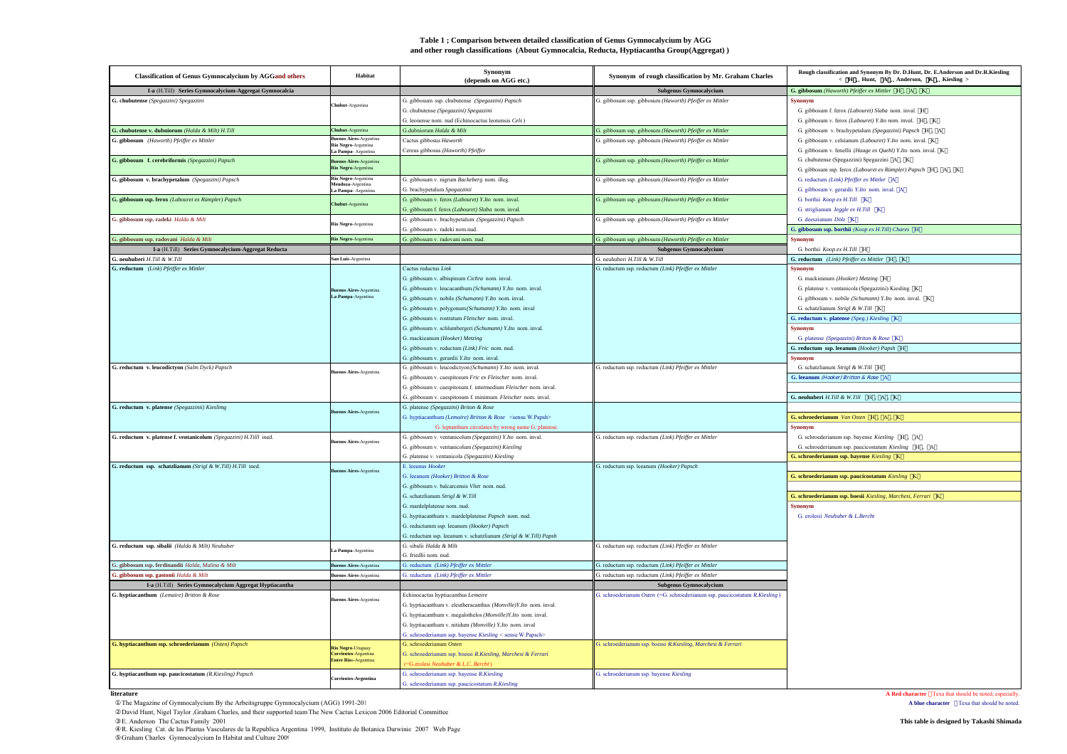# **Table 1 ; Comparison between detailed classification of Genus Gymnocalycium by AGG and other rough classifications (About Gymnocalcia, Reducta, Hyptiacantha Group(Aggregat) )**

| <b>Classification of Genus Gymnocalycium by AGGand others</b>       | Habitat                                    | Synonym<br>(depends on AGG etc.)                                     | Synonym of rough classification by Mr. Graham Charles                      | Rough classification and Synonym By Dr. D.Hunt, Dr. E.Anderson and Dr.R.Kiesling<br>$\label{eq:K} \begin{array}{cccccc} \times & H & {\rm Hunt}, & \mbox{A} & {\rm Anderson}, & \mbox{K} & {\rm Kiesling} \end{array}$ |
|---------------------------------------------------------------------|--------------------------------------------|----------------------------------------------------------------------|----------------------------------------------------------------------------|------------------------------------------------------------------------------------------------------------------------------------------------------------------------------------------------------------------------|
| I-a (H.Till) Series Gymnocalycium-Aggregat Gymnocalcia              |                                            |                                                                      | Subgenus Gymnocalycium                                                     | G. gibbosum (Haworth) Pfeiffer ex Mittler H, A, K                                                                                                                                                                      |
| G. chubutense (Spegazzini) Spegazzini                               | <b>hubut-Argentina</b>                     | G. gibbosum ssp. chubutense (Spegazzini) Papsch                      | G. gibbosum ssp. gibbosum (Haworth) Pfeiffer ex Mittler                    | <b>Synonym</b>                                                                                                                                                                                                         |
|                                                                     |                                            | G. chubutense (Spegazzini) Spegazzini                                |                                                                            | G. gibbosum f. ferox (Labouret) Slaba nom. inval. H                                                                                                                                                                    |
|                                                                     |                                            | G. leonense nom. nud (Echinocactus leonensis Cels)                   |                                                                            | G. gibbosum v. ferox (Labouret) Y.Ito nom. inval. H , K                                                                                                                                                                |
| G. chubutense v. dubniorum (Halda & Milt) H.Till                    | <b>Chubut-Argentina</b>                    | G.dubniorum Halda & Milt                                             | G. gibbosum ssp. gibbosum (Haworth) Pfeiffer ex Mittler                    | G. gibbosum v. brachypetalum (Spegazzini) Papsch H , A                                                                                                                                                                 |
| G. gibbosum (Haworth) Pfeiffer ex Mittler                           | <b>Buenos Aires-Argentina</b>              | Cactus gibbosus Haworth                                              | G. gibbosum ssp. gibbosum (Haworth) Pfeiffer ex Mittler                    | G. gibbosum v. celsianum (Labouret) Y.Ito nom. inval. K.                                                                                                                                                               |
|                                                                     | Rio Negro-Argentina<br>La Pampa-Argentina  | Cereus gibbosus (Haworth) Pfeiffer                                   |                                                                            | G. gibbosum v. fenellii (Haage ex Quehl) Y.Ito nom. inval. K.                                                                                                                                                          |
| G. gibbosum f. cerebriformis (Spegazzini) Papsch                    | <b>tos Aires-Argentina</b>                 |                                                                      | G. gibbosum ssp. gibbosum (Haworth) Pfeiffer ex Mittler                    | G. chubutense (Spegazzini) Spegazzini A, K                                                                                                                                                                             |
|                                                                     | Rio Negro-Argentina                        |                                                                      |                                                                            | G. gibbosum ssp. ferox (Labouret ex Rümpler) Papsch H , A , K                                                                                                                                                          |
| G. gibbosum v. brachypetalum (Spegazzini) Papsch                    | Rio Negro-Argentina                        | G. gibbosum v. nigrum Backeberg nom. illeg.                          | G. gibbosum ssp. gibbosum (Haworth) Pfeiffer ex Mittler                    | G. reductum (Link) Pfeiffer ex Mittler A                                                                                                                                                                               |
|                                                                     | lendoza-Argentina<br>La Pampa- Argentina   | G. brachypetalum Spegazzinii                                         |                                                                            | G. gibbosum v. gerardii Y.Ito nom. inval. A                                                                                                                                                                            |
| G. gibbosum ssp. ferox (Labouret ex Rümpler) Papsch                 |                                            | G. gibbosum v. ferox (Labouret) Y.Ito nom. inval.                    | G. gibbosum ssp. gibbosum (Haworth) Pfeiffer ex Mittler                    | G. borthii Koop ex H.Till K                                                                                                                                                                                            |
|                                                                     | <b>hubut-Argentina</b>                     | G. gibbosum f. ferox (Labouret) Slaba nom. inval.                    |                                                                            | G. striglianum Jeggle ex H.Till K                                                                                                                                                                                      |
| G. gibbosum ssp. radeki Halda & Milt                                |                                            | G. gibbosum v. brachypetalum (Spegazzini) Papsch                     | G. gibbosum ssp. gibbosum (Haworth) Pfeiffer ex Mittler                    | G. deeszianum Dölz K                                                                                                                                                                                                   |
|                                                                     | Rio Negro-Argentina                        | G. gibbosum v. radeki nom.nud.                                       |                                                                            | G. gibbosum ssp. borthii (Koop ex H.Till) Chares H                                                                                                                                                                     |
| G. gibbosum ssp. radovani Halda & Milt                              | Rio Negro-Argentina                        | G. gibbosum v. radovani nom. nud.                                    | G. gibbosum ssp. gibbosum (Haworth) Pfeiffer ex Mittler                    | <b>Synonym</b>                                                                                                                                                                                                         |
| I-a (H.Till) Series Gymnocalycium-Aggregat Reducta                  |                                            |                                                                      | <b>Subgenus Gymnocalycium</b>                                              | G. borthii Koop ex H.Till H                                                                                                                                                                                            |
| G. neuhuberi H.Till & W.Till                                        | San Luis-Argentina                         |                                                                      | G. neuhuberi H.Till & W.Till                                               | G. reductum (Link) Pfeiffer ex Mittler H, K                                                                                                                                                                            |
| G. reductum (Link) Pfeiffer ex Mittler                              |                                            | Cactus reductus Link                                                 | G. reductum ssp. reductum (Link) Pfeiffer ex Mittler                       | Synonym                                                                                                                                                                                                                |
|                                                                     |                                            | G. gibbosum v. albispinum Cichra nom. inval.                         |                                                                            | G. mackieanum (Hooker) Metzing H                                                                                                                                                                                       |
|                                                                     |                                            | G. gibbosum v. leucacanthum (Schumann) Y.Ito nom. inval.             |                                                                            | G. platense v. ventanicola (Spegazzini) Kiesling K                                                                                                                                                                     |
|                                                                     | enos Aires-Argentina<br>La Pampa-Argentina | G. gibbosum v. nobile (Schumann) Y.Ito nom. inval.                   |                                                                            | G. gibbosum v. nobile (Schumann) Y.Ito nom. inval. K.                                                                                                                                                                  |
|                                                                     |                                            |                                                                      |                                                                            |                                                                                                                                                                                                                        |
|                                                                     |                                            | G. gibbosum v. polygonum (Schumann) Y.Ito nom. inval                 |                                                                            | G. schatzlianum Strigl & W.Till K<br>G. reductum v. platense (Speg.) Kiesling K                                                                                                                                        |
|                                                                     |                                            | G. gibbosum v. rostratum Fleischer nom. inval.                       |                                                                            |                                                                                                                                                                                                                        |
|                                                                     |                                            | G. gibbosum v. schlumbergeri (Schumann) Y.Ito nom. inval.            |                                                                            | <b>Synonym</b>                                                                                                                                                                                                         |
|                                                                     |                                            | G. mackieanum (Hooker) Metzing                                       |                                                                            | G. platense (Spegazzini) Briton & Rose K                                                                                                                                                                               |
|                                                                     |                                            | G. gibbosum v. reductum (Link) Fric nom. nud.                        |                                                                            | G. reductum ssp. leeanum (Hooker) Papsh H                                                                                                                                                                              |
|                                                                     |                                            | G. gibbosum v. gerardii Y.Ito nom. inval.                            |                                                                            | <b>Synonym</b>                                                                                                                                                                                                         |
| G. reductum v. leucodictyon (Salm Dyck) Papsch                      | nos Aires-Argentina                        | G. gibbosum v. leucodictyon (Schumann) Y.Ito nom. inval.             | G. reductum ssp. reductum (Link) Pfeiffer ex Mittler                       | G. schatzlianum Strigl & W.Till H                                                                                                                                                                                      |
|                                                                     |                                            | G. gibbosum v. caespitosum Fric ex Fleischer nom. inval.             |                                                                            | G. leeanum (Hooker) Britton & Rose A                                                                                                                                                                                   |
|                                                                     |                                            | G. gibbosum v. caespitosum f. intermedium Fleischer nom. inval.      |                                                                            |                                                                                                                                                                                                                        |
|                                                                     |                                            | G. gibbosum v. caespitosum f. minimum Fleischer nom. inval.          |                                                                            | G. neuhuberi H.Till & W.Till H. A. K                                                                                                                                                                                   |
| G. reductum v. platense (Spegazzinii) Kieslimg                      | os Aires-Argentina                         | G. platense (Spegazzini) Briton & Rose                               |                                                                            |                                                                                                                                                                                                                        |
|                                                                     |                                            | G. hyptiacanthum (Lemaire) Britton & Rose <sensu w.papsh=""></sensu> |                                                                            | G. schroederianum Van Osten H. A. K.                                                                                                                                                                                   |
|                                                                     |                                            | G. leptanthum circulates by wrong name G. platense.                  |                                                                            | <b>Synonym</b>                                                                                                                                                                                                         |
| G. reductum v. platense f. ventanicolum (Spegazzini) H.Tilll ined.  | s Aires-Argentina                          | G. gibbosum v. ventanicolum (Spegazzini) Y.Ito nom. inval.           | G. reductum ssp. reductum (Link) Pfeiffer ex Mittler                       | G. schroederianum ssp. bayense Kiesling H , A                                                                                                                                                                          |
|                                                                     |                                            | G. gibbosum v. ventanicolum (Spegazzini) Kiesling                    |                                                                            | G. schroederianum ssp. paucicostatum Kiesling H , A                                                                                                                                                                    |
|                                                                     |                                            | G. platense v. ventanicola (Spegazzini) Kiesling                     |                                                                            | G. schroederianum ssp. bayense Kiesling K                                                                                                                                                                              |
| G. reductum ssp. schatzlianum (Strigl & W.Till) H.Till ined.        | nos Aires-Argentina                        | E. leeanus Hooker                                                    | G. reductum ssp. leeanum (Hooker) Papsch                                   |                                                                                                                                                                                                                        |
|                                                                     |                                            | G. leeanum (Hooker) Britton & Rose                                   |                                                                            | G. schroederianum ssp. paucicostatum Kiesling K                                                                                                                                                                        |
|                                                                     |                                            | G. gibbosum v. balcarcensis Vliet nom. nud.                          |                                                                            |                                                                                                                                                                                                                        |
|                                                                     |                                            | G. schatzlianum Strigl & W.Till                                      |                                                                            | G. schroederianum ssp. boesii Kiesling, Marchesi, Ferrari K.                                                                                                                                                           |
|                                                                     |                                            | G. mardelplatense nom. nud.                                          |                                                                            | <b>Synonym</b>                                                                                                                                                                                                         |
|                                                                     |                                            | G. hyptiacanthum v. mardelplatense Papsch nom. nud.                  |                                                                            | G. erolesii Neuhuber & L.Bercht                                                                                                                                                                                        |
|                                                                     |                                            | G. reductumm ssp. leeanum (Hooker) Papsch                            |                                                                            |                                                                                                                                                                                                                        |
|                                                                     |                                            | G. reductum ssp. leeanum v. schatzlianum (Strigl & W.Till) Papsh     |                                                                            |                                                                                                                                                                                                                        |
| G. reductum ssp. sibalii (Halda & Milt) Neuhuber                    |                                            | G. sibalii Halda & Milt                                              | G. reductum ssp. reductum (Link) Pfeiffer ex Mittler                       |                                                                                                                                                                                                                        |
|                                                                     | La Pampa-Argentina                         | G. friedlii nom. nud.                                                |                                                                            |                                                                                                                                                                                                                        |
| G. gibbosum ssp. ferdinandii Halda, Malina & Milt                   | enos Aires-Argentina                       | G. reductum (Link) Pfeiffer ex Mittler                               | G. reductum ssp. reductum (Link) Pfeiffer ex Mittler                       |                                                                                                                                                                                                                        |
| G. gibbosum ssp. gastonii Halda & Milt                              | enos Aires-Argentina                       | G. reductum (Link) Pfeiffer ex Mittler                               | G. reductum ssp. reductum (Link) Pfeiffer ex Mittler                       |                                                                                                                                                                                                                        |
| $\bf I$ a $(\rm H.Till)$ Series Gymnocalycium Aggregat Hyptiacantha |                                            |                                                                      | Subgenus Gymnocalycium                                                     |                                                                                                                                                                                                                        |
| G. hyptiacanthum (Lemaire) Britton & Rose                           |                                            | Echinocactus hyptiacanthus Lemaire                                   | G. schroederianum Osten (=G. schroederianum ssp. paucicostatum R.Kiesling) |                                                                                                                                                                                                                        |
|                                                                     | enos Aires-Argentina                       | G. hyptiacanthum v. eleutheracanthus (Monville)Y.Ito nom. inval.     |                                                                            |                                                                                                                                                                                                                        |
|                                                                     |                                            | G. hyptiacanthum v. megalothelos (Monville)Y.Ito nom. inval.         |                                                                            |                                                                                                                                                                                                                        |
|                                                                     |                                            | G. hyptiacanthum v. nitidum (Monville) Y.Ito nom. inval              |                                                                            |                                                                                                                                                                                                                        |
|                                                                     |                                            | G. schroederianum ssp. bayense Kiesling < sensu W.Papsch>            |                                                                            |                                                                                                                                                                                                                        |
| G. hyptiacanthum ssp. schroederianum (Osten) Papsch                 |                                            | G schroederianum Osten                                               | G. schroederianum ssp. boessi R.Kiesling, Marchesi & Ferrari               |                                                                                                                                                                                                                        |
|                                                                     | Rio Negro-Uruguay<br>Corrientes-Argentina  | G. schroederianum ssp. boessi R.Kiesling, Marchesi & Ferrari         |                                                                            |                                                                                                                                                                                                                        |
|                                                                     | <b>Entre Rios-Argentina</b>                | (=G.erolesi Neuhuber & L.C. Bercht)                                  |                                                                            |                                                                                                                                                                                                                        |
| G. hyptiacanthum ssp. paucicostatum (R.Kiesling) Papsch             |                                            | G. schroederianum ssp. bayense R.Kiesling                            | G. schroederianum ssp. bayense Kiesling                                    |                                                                                                                                                                                                                        |
|                                                                     | <b>Corrientes-Argentina</b>                | G. schroederianum ssp. paucicostatum R.Kiesling                      |                                                                            |                                                                                                                                                                                                                        |
| literature                                                          |                                            |                                                                      |                                                                            | <b>A Red character</b> Texa that should be noted, especially                                                                                                                                                           |

**A Red character Texa that should be noted, especially.**<br>**A blue character Texa that should be noted.** 

The Magazine of Gymnocalycium By the Arbeitsgruppe Gymnocalycium (AGG) 1991-201<br>David Hunt, Nigel Taylor Graham Charles, and their supported team The New Cactus Lexicon 2006 Editorial Committee

E. Anderson The Cactus Family 2001<br>R. Kiesling Cat. de las Plantas Vasculares de la Republica Argentina 1999, Instituto de Botanica Darwinic 2007 Web Page<br>Graham Charles Gymnocalycium In Habitat and Culture 200! [1999, Ins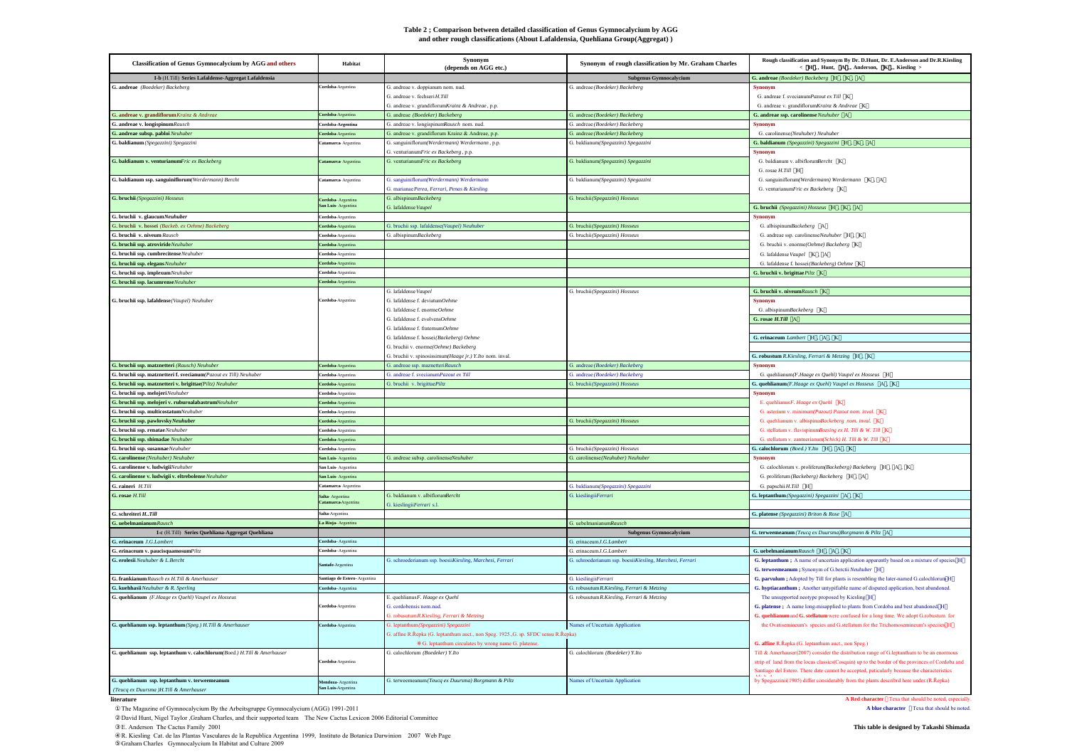#### **Table 2 ; Comparison between detailed classification of Genus Gymnocalycium by AGG** and other rough classifications (About Lafaldensia, Quehliana Group(Aggregat) )

| <b>Classification of Genus Gymnocalycium by AGG and others</b>          | Habitat                                 | Synonym<br>(depends on AGG etc.)                                                               | Synonym of rough classification by Mr. Graham Charles                                 | Rough classification and Synonym By Dr. D.Hunt, Dr. E.Anderson and Dr.R.Kiesling<br>< H Hunt. A Anderson. K Kiesling >                          |
|-------------------------------------------------------------------------|-----------------------------------------|------------------------------------------------------------------------------------------------|---------------------------------------------------------------------------------------|-------------------------------------------------------------------------------------------------------------------------------------------------|
| I-b (H.Till) Series Lafaldense-Aggregat Lafaldensia                     |                                         |                                                                                                | <b>Subgenus Gymnocalycium</b>                                                         | G. andreae (Boedeker) Backeberg H, K, A                                                                                                         |
| G. andreae (Boedeker) Backeberg                                         | ordoba-Argentina                        | G. andreae v. doppianum nom. nud.                                                              | G. andreae (Boedeker) Backeberg                                                       | <b>Synonym</b>                                                                                                                                  |
|                                                                         |                                         | G. andreae v. fechseri H.Till                                                                  |                                                                                       | G. andreae f. svecianumPazout ex Till K                                                                                                         |
|                                                                         |                                         | G. andreae v. grandiflorumKrainz & Andreae, p.p.                                               |                                                                                       | G. andreae v. grandiflorum Krainz & Andreae K                                                                                                   |
| G. andreae v. grandiflorum Krainz & Andreae                             | Cordoba-Argentina                       | G. andreae (Boedeker) Backeberg                                                                | G. andreae (Boedeker) Backeberg                                                       | G. andreae ssp. carolinense Neuhuber A                                                                                                          |
| G. andreae v. longispinum Rausch<br>G. andreae subsp. pabloi Neuhuber   | ordoba-Argentina                        | G. andreae v. longispinumRausch nom. nud.<br>G. andreae v. grandiflorum Krainz & Andreae, p.p. | G. andreae (Boedeker) Backeberg<br>G. andreae (Boedeker) Backeberg                    | Synonym<br>G. carolinense(Neuhuber) Neuhuber                                                                                                    |
|                                                                         | ordoba-Argentina<br>Catamarca Argentina |                                                                                                |                                                                                       |                                                                                                                                                 |
| G. baldianum (Spegazzini) Spegazzini                                    |                                         | G. sanguiniflorum(Werdermann) Werdermann, p.p.<br>G. venturianumFric ex Backeberg, p.p.        | G. baldianum(Spegazzini) Spegazzini                                                   | G. baldianum (Spegazzini) Spegazzini H, K, A<br><b>Synonym</b>                                                                                  |
| G. baldianum v. venturianumFric ex Backeberg                            | Catamarca Argentina                     | G. venturianumFric ex Backeberg                                                                | G. baldianum(Spegazzini) Spegazzini                                                   | G. baldianum v. albiflorumBercht K                                                                                                              |
|                                                                         |                                         |                                                                                                |                                                                                       | G. rosae H.Till H                                                                                                                               |
| G. baldianum ssp. sanguiniflorum(Werdermann) Bercht                     | atamarca Argentina                      | G. sanguiniflorum(Werdermann) Werdermann                                                       | G. baldianum(Spegazzini) Spegazzini                                                   | G. sanguiniflorum(Werdermann) Werdermann K, A                                                                                                   |
|                                                                         |                                         | 3. marianae Perea, Ferrari, Penas & Kiesling                                                   |                                                                                       | G. venturianumFric ex Backeberg K                                                                                                               |
| G. bruchii (Spegazzini) Hosseus                                         | <b>'ordoba-</b> Argentina               | G. albispinumBackeberg                                                                         | G. bruchii (Spegazzini) Hosseus                                                       |                                                                                                                                                 |
|                                                                         | <b>n Luis-Argentin</b>                  | G. lafaldense Vaupel                                                                           |                                                                                       | G. bruchii $(Spegazzini) \;Hosseus$ $\;$ H $\;$ , $\;$ K $\;$ , $\;$ A                                                                          |
| G. bruchii v. glaucumNeuhuber                                           | <b>ordoba-Argentina</b>                 |                                                                                                |                                                                                       | <b>Synonyn</b>                                                                                                                                  |
| G. bruchii v. hossei (Backeb. ex Oehme) Backeberg                       | ordoba-Argentina                        | G. bruchii ssp. lafaldense(Vaupel) Neuhuber                                                    | G. bruchii (Spegazzini) Hosseus                                                       | G. albispinumBackeberg A                                                                                                                        |
| G. bruchii v. niveum Rausch                                             | Cordoba-Argentina                       | G. albispinumBackeberg                                                                         | G. bruchii (Spegazzini) Hosseus                                                       | G. andreae ssp. carolinenseNeuhuber H , K                                                                                                       |
| G. bruchii ssp. atrovirideNeuhuber                                      | ordoba-Argentina                        |                                                                                                |                                                                                       | G. bruchii v. enorme(Oehme) Backeberg K                                                                                                         |
| G. bruchii ssp. cumbrecitenseNeuhuber                                   | <b>'ordoba-Argentina</b>                |                                                                                                |                                                                                       | G. lafaldense Vaupel K. A                                                                                                                       |
| G. bruchii ssp. elegans Neuhuber                                        | Cordoba-Argentina                       |                                                                                                |                                                                                       | G. lafaldense f. hossei(Backeberg) Oehme K                                                                                                      |
| G. bruchii ssp. implexumNeuhuber                                        | Cordoba-Argentina                       |                                                                                                |                                                                                       | G. bruchii v. brigittae Piltz K                                                                                                                 |
| G. bruchii ssp. lacumrenseNeuhuber                                      | Cordoba-Argentina                       |                                                                                                |                                                                                       |                                                                                                                                                 |
|                                                                         |                                         | G. lafaldense Vaupel                                                                           | G. bruchii (Spegazzini) Hosseus                                                       | G. bruchii v. niveumRausch K                                                                                                                    |
| G. bruchii ssp. lafaldense (Vaupel) Neuhuber                            | Cordoba-Argentina                       | 3. lafaldense f. deviatumOehme                                                                 |                                                                                       | <b>Synonym</b>                                                                                                                                  |
|                                                                         |                                         | 3. lafaldense f. enormeOehme                                                                   |                                                                                       | G. albispinumBackeberg K                                                                                                                        |
|                                                                         |                                         | G. lafaldense f. evolvensOehme                                                                 |                                                                                       | G. rosae H.Till A                                                                                                                               |
|                                                                         |                                         | G. lafaldense f. fraternumOehme                                                                |                                                                                       |                                                                                                                                                 |
|                                                                         |                                         | G. lafaldense f. hossei(Backeberg) Oehme                                                       |                                                                                       | G. erinaceum Lambert H. A. K.                                                                                                                   |
|                                                                         |                                         | G. bruchii v. enorme(Oehme) Backeberg                                                          |                                                                                       |                                                                                                                                                 |
| G. bruchii ssp. matznetteri (Rausch) Neuhuber                           | <b>ordoba-Argentina</b>                 | G. bruchii v. spinosissimum(Haage jr.) Y.Ito nom. inval.<br>G. andreae ssp. maznetteriRausch   | G. andreae (Boedeker) Backeberg                                                       | G. robustum R.Kiesling, Ferrari & Metzing H., K.<br><b>Synonym</b>                                                                              |
| G. bruchii ssp. matznetteri f. svecianum(Pazout ex Till) Neuhuber       | Cordoba-Argentina                       | G. andreae f. svecianumPazout ex Till                                                          | G. andreae (Boedeker) Backeberg                                                       | G. quehlianum(F.Haage ex Ouehl) Vaupel ex Hosseus H                                                                                             |
| G. bruchii ssp. matznetteri v. brigittae(Piltz) Neuhuber                | ordoba-Argentina                        | G. bruchii v. brigittaePiltz                                                                   | G. bruchii (Spegazzini) Hosseus                                                       | G. quehlianum (F.Haage ex Quehl) Vaupel ex Hosseus A, K                                                                                         |
| G. bruchii ssp. melojeri Neuhuber                                       | ordoba-Argentina                        |                                                                                                |                                                                                       | <b>Synonym</b>                                                                                                                                  |
| G. bruchii ssp. melojeri v. ruburoalabastrumNeuhuber                    | Cordoba-Argentina                       |                                                                                                |                                                                                       | E. quehlianus F. Haage ex Quehl K                                                                                                               |
| G. bruchii ssp. multicostatumNeuhuber                                   | ordoba-Argentina                        |                                                                                                |                                                                                       | G. asterium v. minimum(Pazout) Pazout nom. inval. K                                                                                             |
| G. bruchii ssp. pawłovskyNeuhuber                                       | ordoba-Argentina                        |                                                                                                | G. bruchii (Spegazzini) Hosseus                                                       | G. quehlianum v. albispinusBackeberg_nom. inval. K                                                                                              |
| G. bruchii ssp. renatae Neuhuber                                        | <b>cordoba-Argentina</b>                |                                                                                                |                                                                                       | G. stellatum v. flavispinumBozsing ex H. Till & W. Till K.                                                                                      |
| G. bruchii ssp. shimadae Neuhuber                                       | Cordoba-Argentina                       |                                                                                                |                                                                                       | G. stellatum v. zantnerianum(Schick) H. Till & W. Till K.                                                                                       |
| G. bruchii ssp. susannaeNeuhuber                                        | <b>'ordoba-Argentina</b>                |                                                                                                | G. bruchii (Spegazzini) Hosseus                                                       | G. calochlorum (Boed.) Y.Ito H. A. K                                                                                                            |
| G. carolinense (Neuhuber) Neuhuber                                      | San Luis-Argentina                      | G. andreae subsp. carolinenseNeuhuber                                                          | G. carolinense(Neuhuber) Neuhuber                                                     | <b>Synonym</b>                                                                                                                                  |
| G. carolinense v. ludwigiiNeuhuber                                      | San Luis-Argentina                      |                                                                                                |                                                                                       | G. calochlorum v. proliferum(Backeberg) Backeberg H , A , K                                                                                     |
| G. carolinense v. ludwigii v. eltrebolense Neuhuber                     | San Luis-Argentina                      |                                                                                                |                                                                                       | G. proliferum (Backeberg) Backeberg H , A                                                                                                       |
| G. raineri H.Till                                                       | Catamarca Argentina                     |                                                                                                | G. baldianum(Spegazzini) Spegazzini                                                   | G. papschii H.Till H                                                                                                                            |
| G. rosae H.Till                                                         | Salta-Argentina                         | G. baldianum v. albiflorumBercht                                                               | G. kieslingii Ferrari                                                                 | G. leptanthum (Spegazzini) Spegazzini A, K                                                                                                      |
|                                                                         | atamarca Argenti                        | G. kieslingiiFerrari s.l.                                                                      |                                                                                       |                                                                                                                                                 |
| G. schreiteri $H_{\cdot \cdot} Till$                                    | salta-Argentina                         |                                                                                                |                                                                                       | G. platense (Spegazzini) Briton & Rose A                                                                                                        |
| G. nebelmanianum Rausch                                                 | La Rioja- Argentina                     |                                                                                                | G. uebelmanianumRausch                                                                |                                                                                                                                                 |
| I-c (H.Till) Series Quehliana-Aggregat Quehliana                        |                                         |                                                                                                | <b>Subgenus Gymnocalycium</b>                                                         | G. terweemeanum (Teucq ex Duursma)Borgmann & Piltz A                                                                                            |
| G. erinaceum J.G. Lambert                                               | <b>ordoba-</b> Argentina                |                                                                                                | G. erinaceum J.G. Lambert                                                             |                                                                                                                                                 |
| G. erinaceum v. paucisquamosumPiltz<br>G. erolesii Neuhuber & L. Bercht | Cordoba-Argentina                       |                                                                                                | G. erinaceum J.G. Lambert<br>G. schroederianum ssp. boesiiKiesling, Marchesi, Ferrari | G. uebelmanianum Rausch H, A, K                                                                                                                 |
|                                                                         | ntafe-Argentina                         | G. schroederianum ssp. boesiiKiesling, Marchesi, Ferrari                                       |                                                                                       | G. leptanthum; A name of uncertain application apparently based on a mixture of species. H<br>G. terweemeanum ; Synonym of G.berctii Neuhuber H |
| G. frankianum Rausch ex H.Till & Amerhauser                             | santiago de Estero-Argentina            |                                                                                                | G. kieslingii Ferrari                                                                 | G. parvulum ; Adopted by Till for plants is resembling the later-named G.calochlorum H                                                          |
| G. kuehhasii Neuhuber & R. Sperling                                     | 'ordoba- Argentina                      |                                                                                                | G. robusutum R. Kiesling, Ferrari & Metzing                                           | G. hyptiacanthum; Another untypifiable name of disputed application, best abandoned.                                                            |
| G. quehlianum (F.Haage ex Quehl) Vaupel ex Hosseus                      |                                         | E. quehlianus F. Haage ex Quehl                                                                | G. robusutum R. Kiesling, Ferrari & Metzing                                           | The unsupported neotype proposed by Kiesling H                                                                                                  |
|                                                                         | <b>'ordoba-Argentina</b>                | G. cordobensis nom nud                                                                         |                                                                                       | G. platense; A name long-misapplied to plants from Cordoba and best abandoned. H                                                                |
|                                                                         |                                         | G. robusutumR.Kiesling, Ferrari & Metzing                                                      |                                                                                       | G. quehlianum and G. stellatum were confused for a long time. We adopt G.robustum for                                                           |
| G. quehlianum ssp. leptanthum (Speg.) H.Till & Amerhauser               | Cordoba-Argentina                       | G. leptanthum (Spegazzini) Spegazzini                                                          | Names of Uncertain Application                                                        | the Ovatisemineum's species and G.stellatum for the Trichomosemineum's speciies. H                                                              |
|                                                                         |                                         | G. affine R.Řepka (G. leptanthum auct., non Speg. 1925., G. sp. SFDC sensu R.Řepka)            |                                                                                       |                                                                                                                                                 |
|                                                                         |                                         | G. leptanthum circulates by wrong name G. platense                                             |                                                                                       | G. affine R.Řepka (G. leptanthum auct., non Speg.)                                                                                              |
| G. quehlianum ssp. leptanthum v. calochlorum(Boed.) H.Till & Amerhauser |                                         | G. calochlorum (Boedeker) Y.Ito                                                                | G. calochlorum (Boedeker) Y.Ito                                                       | Till & Amerhauser(2007) consider the distribution range of G.leptanthum to be an enormous                                                       |
|                                                                         | ordoba-Argentina                        |                                                                                                |                                                                                       | strip of land from the locus classics(Cosquin) up to the border of the provinces of Cordoba and                                                 |
|                                                                         |                                         |                                                                                                |                                                                                       | Santiago del Estero. There date cannot be accepted, paticularly because the characteristics                                                     |
| G. quehlianum ssp. leptanthum v. terweemeanum                           | Mendoza- Argentina                      | G. terweemeanum (Teucq ex Duursma) Borgmann & Piltz                                            | Names of Uncertain Application                                                        | by Spegazzinii(1905) differ considerably from the plants describrd here under.(R.Řepka)                                                         |
| (Teucq ex Duursma )H.Till & Amerhauser                                  | an Luis-Argentina                       |                                                                                                |                                                                                       |                                                                                                                                                 |

**literature**

The Magazine of Gymnocalycium By the Arbeitsgruppe Gymnocalycium (AGG) 1991-2011<br>David Hunt, Nigel Taylor Graham Charles, and their supported team The New Cactus Lexicon 2006 Editorial Committee

E. Anderson The Cactus Family 2001 **This table is designed by Takashi Shimada**<br>R. Kiesling Cat. de las Plantas Vasculares de la Republica Argentina 1999, Instituto de Botanica Darwinion 2007 Web Page Graham Charles Gymnocalycium In Habitat and Culture 2009

**A Red character** Texa that should be noted, especially.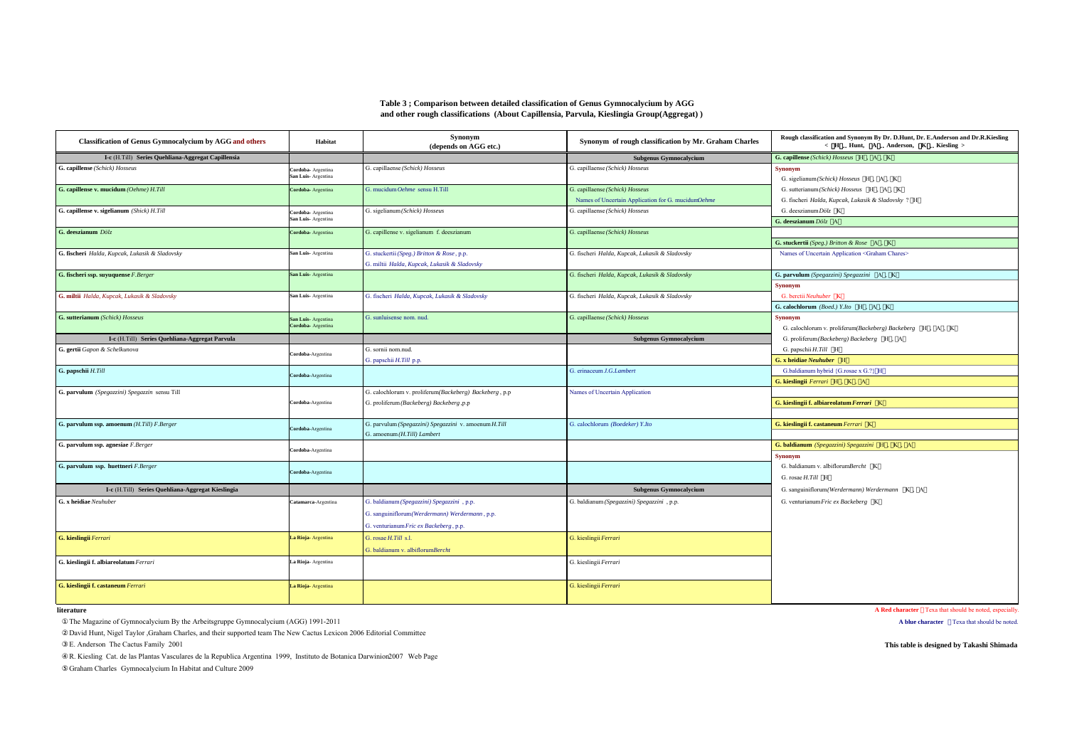## **Table 3 ; Comparison between detailed classification of Genus Gymnocalycium by AGG and other rough classifications (About Capillensia, Parvula, Kieslingia Group(Aggregat) )**

| <b>Classification of Genus Gymnocalycium by AGG and others</b> | Habitat                                  | Synonym<br>(depends on AGG etc.)                                                                                                        | Synonym of rough classification by Mr. Graham Charles                                 | Rough classification and Synonym By Dr. D.Hunt, Dr. E.Anderson and Dr.R.Kiesling<br>< H Hunt, A Anderson, K Kiesling > |
|----------------------------------------------------------------|------------------------------------------|-----------------------------------------------------------------------------------------------------------------------------------------|---------------------------------------------------------------------------------------|------------------------------------------------------------------------------------------------------------------------|
| I-c (H.Till) Series Quehliana-Aggregat Capillensia             |                                          |                                                                                                                                         | <b>Subgenus Gymnocalycium</b>                                                         | G. capillense (Schick) Hosseus H. A. K.                                                                                |
| G. capillense (Schick) Hosseus                                 | Cordoba- Argentina<br>San Luis-Argentina | G. capillaense (Schick) Hosseus                                                                                                         | G. capillaense (Schick) Hosseus                                                       | <b>Synonym</b><br>G. sigelianum(Schick) Hosseus H, A, K                                                                |
| G. capillense v. mucidum (Oehme) H.Till                        | Cordoba- Argentina                       | G. mucidum Oehme sensu H.Till                                                                                                           | G. capillaense (Schick) Hosseus<br>Names of Uncertain Application for G. mucidumOehme | G. sutterianum(Schick) Hosseus H, A, K<br>G. fischeri Halda, Kupcak, Lukasik & Sladovsky ? H                           |
| G. capillense v. sigelianum (Shick) H.Till                     | Cordoba- Argentina<br>San Luis-Argentina | G. sigelianum (Schick) Hosseus                                                                                                          | G. capillaense (Schick) Hosseus                                                       | G. deeszianum Dölz K<br>G. deeszianum Dölz A                                                                           |
| G. deeszianum Dölz                                             | Cordoba- Argentina                       | G. capillense v. sigelianum f. deeszianum                                                                                               | G. capillaense (Schick) Hosseus                                                       | G. stuckertii (Speg.) Britton & Rose A, K                                                                              |
| G. fischeri Halda, Kupcak, Lukasik & Sladovsky                 | San Luis-Argentina                       | G. stuckertii (Speg.) Britton & Rose, p.p.<br>G. miltii Halda, Kupcak, Lukasik & Sladovsky                                              | G. fischeri Halda, Kupcak, Lukasik & Sladovsky                                        | Names of Uncertain Application <graham chares=""></graham>                                                             |
| G. fischeri ssp. suyuquense F. Berger                          | San Luis-Argentina                       |                                                                                                                                         | G. fischeri Halda, Kupcak, Lukasik & Sladovsky                                        | G. parvulum (Spegazzini) Spegazzini A, K<br><b>Synonym</b>                                                             |
| G. miltii Halda, Kupcak, Lukasik & Sladovsky                   | San Luis-Argentina                       | G. fischeri Halda, Kupcak, Lukasik & Sladovsky                                                                                          | G. fischeri Halda, Kupcak, Lukasik & Sladovsky                                        | G. berctii Neuhuber K<br>G. calochlorum (Boed.) Y.Ito H, A, K                                                          |
| G. sutterianum (Schick) Hosseus                                | San Luis-Argentina<br>Cordoba- Argentina | G. sunluisense nom. nud.                                                                                                                | G. capillaense (Schick) Hosseus                                                       | <b>Synonym</b><br>G. calochlorum v. proliferum(Backeberg) Backeberg H, A, K                                            |
| I-c (H.Till) Series Quehliana-Aggregat Parvula                 |                                          |                                                                                                                                         | <b>Subgenus Gymnocalycium</b>                                                         | G. proliferum (Backeberg) Backeberg H , A                                                                              |
| G. gertii Gapon & Schelkunova                                  | Cordoba-Argentina                        | G. sornii nom.nud.                                                                                                                      |                                                                                       | G. papschii H.Till H                                                                                                   |
|                                                                |                                          | G. papschii H.Till p.p.                                                                                                                 |                                                                                       | G. x heidiae Neuhuber H                                                                                                |
| G. papschii H.Till                                             | Cordoba-Argentina                        |                                                                                                                                         | G. erinaceum J.G. Lambert                                                             | G.baldianum hybrid {G.rosae x G.?} H<br>G. kieslingii Ferrari H, K, A                                                  |
| G. parvulum (Spegazzini) Spegazzin sensu Till                  | Cordoba-Argentina                        | G. calochlorum v. proliferum(Backeberg) Backeberg, p.p<br>G. proliferum (Backeberg) Backeberg ,p.p                                      | Names of Uncertain Application                                                        | G. kieslingii f. albiareolatum Ferrari K                                                                               |
| G. parvulum ssp. amoenum (H.Till) F.Berger                     | Cordoba-Argentina                        | G. parvulum (Spegazzini) Spegazzini v. amoenum H.Till<br>G. amoenum (H.Till) Lambert                                                    | G. calochlorum (Boedeker) Y.Ito                                                       | G. kieslingii f. castaneum Ferrari K                                                                                   |
| G. parvulum ssp. agnesiae F. Berger                            | Cordoba-Argentina                        |                                                                                                                                         |                                                                                       | G. baldianum (Spegazzini) Spegazzini H, K, A<br><b>Synonym</b>                                                         |
| G. parvulum ssp. huettneri F.Berger                            | Cordoba-Argentina                        |                                                                                                                                         |                                                                                       | G. baldianum v. albiflorumBercht K<br>G. rosae $H. Till$ H                                                             |
| I-c (H.Till) Series Quehliana-Aggregat Kieslingia              |                                          |                                                                                                                                         | <b>Subgenus Gymnocalycium</b>                                                         | G. sanguiniflorum(Werdermann) Werdermann K. A                                                                          |
| G. x heidiae Neuhuber                                          | Catamarca-Argentina                      | G. baldianum (Spegazzini) Spegazzini , p.p.<br>G. sanguiniflorum(Werdermann) Werdermann, p.p.<br>G. venturianum Fric ex Backeberg, p.p. | G. baldianum (Spegazzini) Spegazzini , p.p.                                           | G. venturianum Fric ex Backeberg K                                                                                     |
| G. kieslingii Ferrari                                          | La Rioja-Argentina                       | G. rosae H.Till s.l.<br>G. baldianum v. albiflorumBercht                                                                                | G. kieslingii Ferrari                                                                 |                                                                                                                        |
| G. kieslingii f. albiareolatum Ferrari                         | La Rioja- Argentina                      |                                                                                                                                         | G. kieslingii Ferrari                                                                 |                                                                                                                        |
| G. kieslingii f. castaneum Ferrari                             | La Rioja- Argentina                      |                                                                                                                                         | G. kieslingii Ferrari                                                                 |                                                                                                                        |

## **literature**

The Magazine of Gymnocalycium By the Arbeitsgruppe Gymnocalycium (AGG) 1991-2011 **A blue character** Texa that should be noted.

David Hunt, Nigel Taylor ,Graham Charles, and their supported team The New Cactus Lexicon 2006 Editorial Committee

R. Kiesling Cat. de las Plantas Vasculares de la Republica Argentina 1999, Instituto de Botanica Darwinion2007 Web Page

Graham Charles Gymnocalycium In Habitat and Culture 2009

**A Red character** Texa that should be noted, especially.

E. Anderson The Cactus Family 2001 **This table is designed by Takashi Shimada**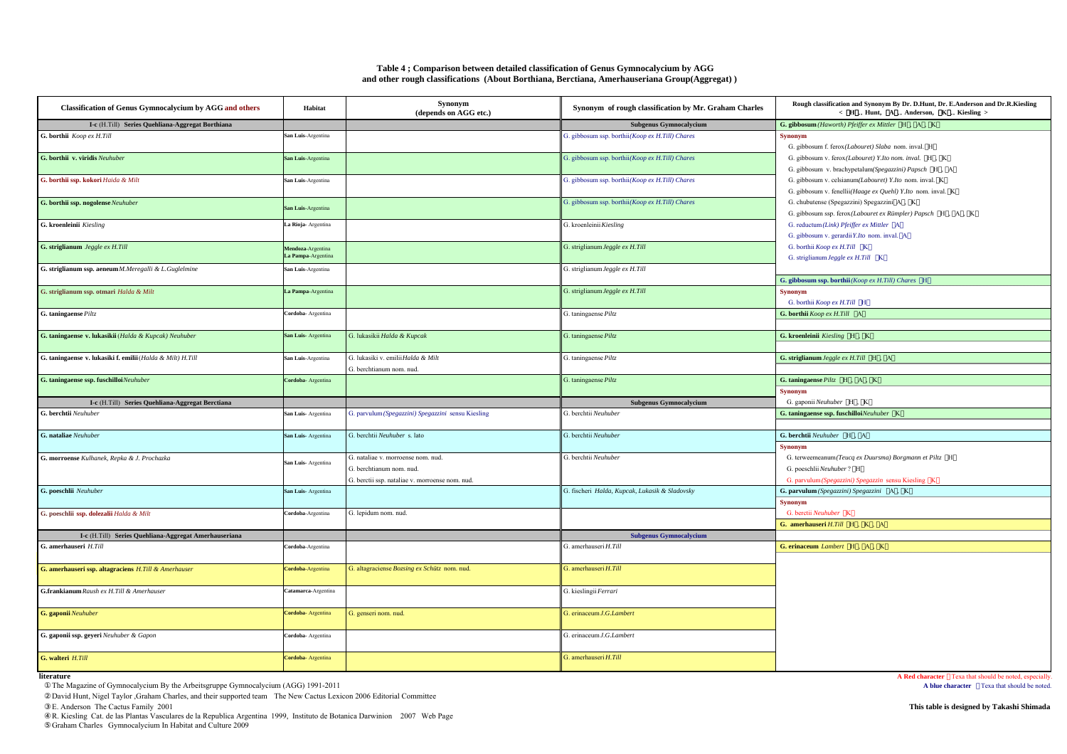| Table 4; Comparison between detailed classification of Genus Gymnocalycium by AGG            |  |
|----------------------------------------------------------------------------------------------|--|
| and other rough classifications (About Borthiana, Berctiana, Amerhauseriana Group(Aggregat)) |  |

| <b>Classification of Genus Gymnocalycium by AGG and others</b> | Habitat                                 | <b>Synonym</b><br>(depends on AGG etc.)                                                                           | Synonym of rough classification by Mr. Graham Charles | Rough classification and Synonym By Dr. D.Hunt, Dr. E.Anderson and Dr.R.Kiesling<br>< H Hunt, A Anderson, K Kiesling >                   |
|----------------------------------------------------------------|-----------------------------------------|-------------------------------------------------------------------------------------------------------------------|-------------------------------------------------------|------------------------------------------------------------------------------------------------------------------------------------------|
| I-c (H.Till) Series Quehliana-Aggregat Borthiana               |                                         |                                                                                                                   | Subgenus Gymnocalycium                                | G. gibbosum (Haworth) Pfeiffer ex Mittler H, A, K                                                                                        |
| G. borthii Koop ex H.Till                                      | San Luis-Argentina                      |                                                                                                                   | G. gibbosum ssp. borthii(Koop ex H.Till) Chares       | <b>Synonym</b><br>G. gibbosum f. ferox(Labouret) Slaba nom. inval. H                                                                     |
| G. borthii v. viridis Neuhuber                                 | San Luis-Argentina                      |                                                                                                                   | G. gibbosum ssp. borthii(Koop ex H.Till) Chares       | G. gibbosum v. ferox(Labouret) Y.Ito nom. inval. H., K.<br>G. gibbosum v. brachypetalum(Spegazzini) Papsch H , A                         |
| G. borthii ssp. kokori Haida & Milt                            | San Luis-Argentina                      |                                                                                                                   | G. gibbosum ssp. borthii(Koop ex H.Till) Chares       | G. gibbosum v. celsianum(Labouret) Y.Ito nom. inval. K.<br>G. gibbosum v. fenellii(Haage ex Quehl) Y.Ito nom. inval. K                   |
| G. borthii ssp. nogolense Neuhuber                             | San Luis-Argentina                      |                                                                                                                   | G. gibbosum ssp. borthii(Koop ex H.Till) Chares       | G. chubutense (Spegazzini) Spegazzini A, K<br>G. gibbosum ssp. ferox(Labouret ex Rümpler) Papsch H, A, K                                 |
| G. kroenleinii Kiesling                                        | La Rioja- Argentina                     |                                                                                                                   | G. kroenleinii Kiesling                               | G. reductum(Link) Pfeiffer ex Mittler A<br>G. gibbosum v. gerardii Y.Ito nom. inval. A                                                   |
| G. striglianum Jeggle ex H.Till                                | Mendoza-Argentina<br>La Pampa-Argentina |                                                                                                                   | G. striglianum Jeggle ex H.Till                       | G. borthii Koop ex H.Till K<br>G. striglianum Jeggle ex H.Till K                                                                         |
| G. striglianum ssp. aeneum M.Meregalli & L.Guglelmine          | San Luis-Argentina                      |                                                                                                                   | G. striglianum Jeggle ex H.Till                       | G. gibbosum ssp. borthii (Koop ex H.Till) Chares H                                                                                       |
| G. striglianum ssp. otmari Halda & Milt                        | La Pampa-Argentina                      |                                                                                                                   | G. striglianum Jeggle ex H.Till                       | <b>Synonym</b><br>G. borthii Koop ex H.Till H                                                                                            |
| G. taningaense Piltz                                           | Cordoba- Argentina                      |                                                                                                                   | G. taningaense Piltz                                  | G. borthii Koop ex H.Till A                                                                                                              |
| G. taningaense v. lukasikii (Halda & Kupcak) Neuhuber          | San Luis-Argentina                      | G. lukasikii Halda & Kupcak                                                                                       | G. taningaense Piltz                                  | G. kroenleinii Kiesling H, K                                                                                                             |
| G. taningaense v. lukasiki f. emilii (Halda & Milt) H.Till     | San Luis-Argentina                      | G. lukasiki v. emilii Halda & Milt<br>G. berchtianum nom. nud.                                                    | G. taningaense Piltz                                  | G. striglianum Jeggle ex H.Till H, A                                                                                                     |
| G. taningaense ssp. fuschilloiNeuhuber                         | Cordoba- Argentina                      |                                                                                                                   | G. taningaense $Piltz$                                | G. taningaense $Piltz$ H, A, K<br><b>Synonym</b>                                                                                         |
| I-c (H.Till) Series Quehliana-Aggregat Berctiana               |                                         |                                                                                                                   | <b>Subgenus Gymnocalycium</b>                         | G. gaponii Neuhuber H, K                                                                                                                 |
| G. berchtii Neuhuber                                           | San Luis-Argentina                      | G. parvulum (Spegazzini) Spegazzini sensu Kiesling                                                                | G. berchtii Neuhuber                                  | G. taningaense ssp. fuschilloiNeuhuber K                                                                                                 |
|                                                                |                                         |                                                                                                                   |                                                       |                                                                                                                                          |
| G. nataliae Neuhuber                                           | San Luis-Argentina                      | G. berchtii Neuhuber s. lato                                                                                      | G. berchtii Neuhuber                                  | G. berchtii Neuhuber H, A<br><b>Synonym</b>                                                                                              |
| G. morroense Kulhanek, Repka & J. Prochazka                    | San Luis-Argentina                      | G. nataliae v. morroense nom. nud.<br>G. berchtianum nom. nud.<br>G. berctii ssp. nataliae v. morroense nom. nud. | G. berchtii Neuhuber                                  | G. terweemeanum(Teucq ex Duursma) Borgmann et Piltz H<br>G. poeschlii Neuhuber? H<br>G. parvulum (Spegazzini) Spegazzin sensu Kiesling K |
| G. poeschlii Neuhuber                                          | San Luis-Argentina                      |                                                                                                                   | G. fischeri Halda, Kupcak, Lukasik & Sladovsky        | G. parvulum (Spegazzini) Spegazzini A, K<br><b>Synonym</b>                                                                               |
| G. poeschlii ssp. dolezalii Halda & Milt                       | Cordoba-Argentina                       | G. lepidum nom. nud.                                                                                              |                                                       | G. berctii Neuhuber K<br>G. amerhauseri $H.Till$ $H$ , $K$ , $A$                                                                         |
| I-c (H.Till) Series Quehliana-Aggregat Amerhauseriana          |                                         |                                                                                                                   | <b>Subgenus Gymnocalycium</b>                         |                                                                                                                                          |
| G. amerhauseri H.Till                                          | Cordoba-Argentina                       |                                                                                                                   | G. amerhauseri H.Till                                 | G. erinaceum Lambert H, A, K                                                                                                             |
| G. amerhauseri ssp. altagraciens H.Till & Amerhauser           | Cordoba-Argentina                       | G. altagraciense Bozsing ex Schütz nom. nud.                                                                      | G. amerhauseri $H$ . Till                             |                                                                                                                                          |
| G.frankianum Raush ex H.Till & Amerhauser                      | Catamarca-Argentina                     |                                                                                                                   | G. kieslingii Ferrari                                 |                                                                                                                                          |
| G. gaponii Neuhuber                                            | Cordoba- Argentina                      | G. genseri nom. nud.                                                                                              | G. erinaceum J.G. Lambert                             |                                                                                                                                          |
| G. gaponii ssp. geyeri Neuhuber & Gapon                        | Cordoba- Argentina                      |                                                                                                                   | G. erinaceum J.G. Lambert                             |                                                                                                                                          |
| G. walteri H.Till                                              | Cordoba-Argentina                       |                                                                                                                   | G. amerhauseri H.Till                                 |                                                                                                                                          |

**literature**

The Magazine of Gymnocalycium By the Arbeitsgruppe Gymnocalycium (AGG) 1991-2011

David Hunt, Nigel Taylor ,Graham Charles, and their supported team The New Cactus Lexicon 2006 Editorial Committee E. Anderson The Cactus Family 2001

E. Anderson The Cactus Family 2001<br>R. Kiesling Cat. de las Plantas Vasculares de la Republica Argentina 1999, Instituto de Botanica Darwinion 2007 Web Page<br>Graham Charles Gymnocalycium In Habitat and Culture 2009

**A Red character** Texa that should be noted, especially.<br>**A blue character** Texa that should be noted.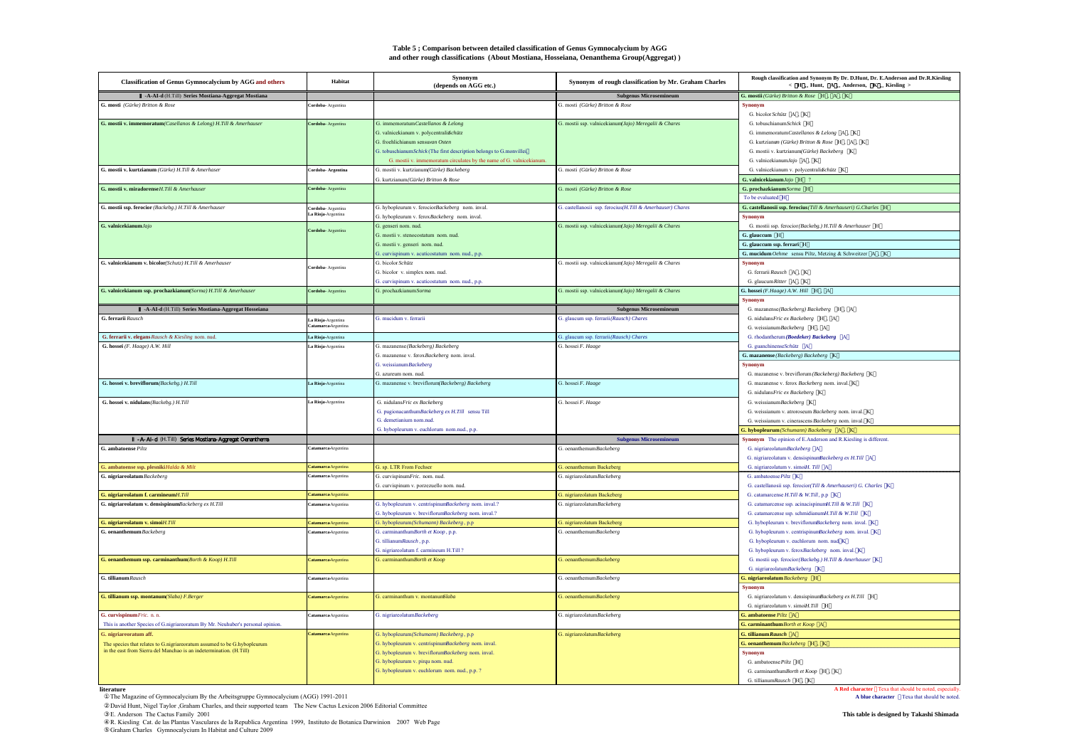#### **Table 5 ; Comparison between detailed classification of Genus Gymnocalycium by AGG and other rough classifications (About Mostiana, Hosseiana, Oenanthema Group(Aggregat))**

| <b>Classification of Genus Gymnocalycium by AGG and others</b>                  | Habitat                                  | Synonym<br>(depends on AGG etc.)                                     | Synonym of rough classification by Mr. Graham Charles      | Rough classification and Synonym By Dr. D.Hunt, Dr. E.Anderson and Dr.R.Kiesling<br>$\label{eq:K} \begin{array}{cccccc} \times & H & {\rm Hunt}, & {\rm A} & {\rm Anderson}, & {\rm K} & {\rm Kiesling} \end{array}$ |
|---------------------------------------------------------------------------------|------------------------------------------|----------------------------------------------------------------------|------------------------------------------------------------|----------------------------------------------------------------------------------------------------------------------------------------------------------------------------------------------------------------------|
| -A-AI-d (H.Till) Series Mostiana-Aggregat Mostiana                              |                                          |                                                                      | <b>Subgenus Microsemineum</b>                              | G. mostii (Gürke) Britton & Rose H. A. K.                                                                                                                                                                            |
| G. mosti (Gürke) Britton & Rose                                                 | rdoba- Argentina                         |                                                                      | G. mosti (Gürke) Britton & Rose                            | <b>Synonym</b><br>G. bicolor Schütz A. K.                                                                                                                                                                            |
| G. mostii v. immemoratum(Casellanos & Lelong) H.Till & Amerhauser               | Cordoba-Argentina                        | G. immemoratum Castellanos & Lelong                                  | G. mostii ssp. valnicekianum Jajo) Meregalii & Chares      | G. tobuschianumSchick H                                                                                                                                                                                              |
|                                                                                 |                                          | G. valnicekianum v. polycentralisSchütz                              |                                                            | G. immemoratum Castellanos & Lelong A, K                                                                                                                                                                             |
|                                                                                 |                                          | G. froehlichianum sensuvan Osten                                     |                                                            | G. kurtzianum (Gürke) Britton & Rose H., A., K.                                                                                                                                                                      |
|                                                                                 |                                          | G. tobuschianumSchick (The first description belongs to G.monvillei. |                                                            | G. mostii v. kurtzianum(Gürke) Backeberg K                                                                                                                                                                           |
|                                                                                 |                                          | G. mostii v. immemoratum circulates by the name of G. valnicekianum. |                                                            | G. valnicekianumJajo A. K                                                                                                                                                                                            |
| G. mostii v. kurtzianum (Gürke) H.Till & Amerhaser                              | Cordoba- Argentina                       | G. mostii v. kurtzianum(Gürke) Backeberg                             | G. mosti (Gürke) Britton & Rose                            | G. valnicekianum v. polycentralisochütz K                                                                                                                                                                            |
|                                                                                 |                                          | G. kurtzianum(Gürke) Britton & Rose                                  |                                                            | G. valnicekianum Jaio H                                                                                                                                                                                              |
| G. mostii v. miradorense H.Till & Amerhauser                                    | Cordoba-Argentina                        |                                                                      | G. mosti (Gürke) Britton & Rose                            | G. prochazkianum Sorma H                                                                                                                                                                                             |
|                                                                                 |                                          |                                                                      |                                                            | To be evaluated H                                                                                                                                                                                                    |
| G. mostii ssp. ferocior (Backebg.) H.Till & Amerhauser                          | Cordoba- Argentina                       | G. hybopleurum v. ferociorBackeberg nom. inval.                      | G. castellanosii ssp. ferocius(H.Till & Amerhauser) Chares | G. castellanosii ssp. ferocius (Till & Amerhauseri) G.Charles H                                                                                                                                                      |
|                                                                                 | La Rioja-Argentina                       | G. hybopleurum v. feroxBackeberg nom. inval.                         |                                                            | <b>Synonym</b>                                                                                                                                                                                                       |
| G. valnicekianumJajo                                                            |                                          | G. genseri nom. nud.                                                 | G. mostii ssp. valnicekianum(Jajo) Meregalii & Chares      | G. mostii ssp. ferocior (Backebg.) H.Till & Amerhauser H                                                                                                                                                             |
|                                                                                 | <b>Cordoba-Argentina</b>                 | G. mostii v. stenocostatum nom. nud.                                 |                                                            | G. glauccum H                                                                                                                                                                                                        |
|                                                                                 |                                          | G. mostii v. genseri nom. nud.                                       |                                                            | G. glauccum ssp. ferrari H                                                                                                                                                                                           |
|                                                                                 |                                          | G. curvispinum v. acuticostatum nom. nud., p.p.                      |                                                            | G. mucidum Oehme sensu Piltz, Metzing & Schweitzer A, K                                                                                                                                                              |
| G. valnicekianum v. bicolor(Schutz) H.Till & Amerhauser                         |                                          | G. bicolor Schütz                                                    | G. mostii ssp. valnicekianum Jajo) Meregalii & Chares      | Synonym                                                                                                                                                                                                              |
|                                                                                 | Cordoba- Argentina                       | G. bicolor v. simplex nom. nud.                                      |                                                            | G. ferrarii Rausch A, K                                                                                                                                                                                              |
|                                                                                 |                                          | G. curvispinum v. acuticostatum nom. nud., p.p.                      |                                                            | G. glaucum Ritter A. K.                                                                                                                                                                                              |
| G. valnicekianum ssp. prochazkianum(Sorma) H.Till & Amerhauser                  | Cordoba-Argentina                        | G. prochazkianum Sorma                                               | G. mostii ssp. valnicekianum(Jajo) Meregalii & Chares      | G. hossei (F.Haage) A.W. Hill H., A.                                                                                                                                                                                 |
|                                                                                 |                                          |                                                                      |                                                            | <b>Synonym</b>                                                                                                                                                                                                       |
| -A-AI-d (H.Till) Series Mostiana-Aggregat Hosseiana                             |                                          |                                                                      | <b>Subgenus Microsemineum</b>                              | G. mazanense(Backeberg) Backeberg H , A                                                                                                                                                                              |
| G. ferrarii Rausch                                                              |                                          | G mucidum v ferrarii                                                 | G. glaucum ssp. ferrarii(Rausch) Chares                    | G. nidulans<br>Fric ex Backeberg $\quad$ H $\,$ , $\,$ A                                                                                                                                                             |
|                                                                                 | La Rioia-Argentina<br>atamarca-Argentina |                                                                      |                                                            | G. weissianumBackeberg H , A                                                                                                                                                                                         |
| G. ferrarii v. elegans Rausch & Kiesling nom. nud.                              | La Rioja-Argentina                       |                                                                      | G. glaucum ssp. ferrarii(Rausch) Chares                    |                                                                                                                                                                                                                      |
| G. hossei (F. Haage) A.W. Hill                                                  | La Rioja-Argentina                       | G. mazanense(Backeberg) Backeberg                                    | G. hossei F. Haage                                         | G. rhodantherum (Boedeker) Backeberg A<br>G. guanchinenseSchütz A                                                                                                                                                    |
|                                                                                 |                                          |                                                                      |                                                            |                                                                                                                                                                                                                      |
|                                                                                 |                                          | G. mazanense v. feroxBackeberg nom. inval.<br>G. weissianumBackeberg |                                                            | G. mazanense (Backeberg) Backeberg K<br><b>Synonym</b>                                                                                                                                                               |
|                                                                                 |                                          | G. azureum nom. nud.                                                 |                                                            |                                                                                                                                                                                                                      |
| G. hossei v. breviflorum (Backebg.) H.Till                                      |                                          |                                                                      |                                                            | G. mazanense v. breviflorum (Backeberg) Backeberg K<br>G. mazanense v. ferox Backeberg nom. inval. K                                                                                                                 |
|                                                                                 | La Rioja-Argentina                       | G. mazanense v. breviflorum(Backeberg) Backeberg                     | G. hossei F. Haage                                         |                                                                                                                                                                                                                      |
| G. hossei v. nidulans (Backebg.) H.Till                                         |                                          | G. nidulansFric ex Backeberg                                         | G. hossei F. Haage                                         | G. nidulansFric ex Backeberg K<br>G. weissianumBackeberg K                                                                                                                                                           |
|                                                                                 | La Rioja-Argentina                       |                                                                      |                                                            |                                                                                                                                                                                                                      |
|                                                                                 |                                          | G. pugionacanthumBackeberg ex H.Till sensu Till                      |                                                            | G. weissianum v. atroroseum Backeberg nom. inval. K                                                                                                                                                                  |
|                                                                                 |                                          | G. demetianium nom.nud                                               |                                                            | G. weissianum v. cinerascens Backeberg nom. inval. K                                                                                                                                                                 |
|                                                                                 |                                          | G. hybopleurum v. euchlorum nom.nud., p.p.                           |                                                            | G. hybopleurum (Schumann) Backeberg A, K                                                                                                                                                                             |
| - A-AI-d (H.Till) Series Mostiana-Aggregat Oenantherra                          |                                          |                                                                      | <b>Subgenus Microsemineum</b>                              | Synonym The opinion of E.Anderson and R.Kiesling is different.                                                                                                                                                       |
| G. ambatoense Piltz                                                             | atamarca-Argentina                       |                                                                      | G. oenanthemumBackeberg                                    | G. nigriareolatumBackeberg A                                                                                                                                                                                         |
|                                                                                 |                                          |                                                                      |                                                            | G. nigriareolatum v. densispinunBackeberg ex H.Till A                                                                                                                                                                |
| G. ambatoense ssp. plesniki Halda & Milt                                        | Catamarca-Argentina                      | G. sp. LTR From Fechser                                              | G. oenanthemum Backeberg                                   | G. nigriareolatum v. simoiH. Till A                                                                                                                                                                                  |
| G. nigriareolatum Backeberg                                                     | Catamarca Argentina                      | G. curvispinumFric. nom. nud.                                        | G. nigriareolatumBackeberg                                 | G. ambatoense Piltz K                                                                                                                                                                                                |
|                                                                                 |                                          | G. curvispinum v. porzezuello nom. nud.                              |                                                            | G. castellanosii ssp. ferocior(Till & Amerhauseri) G. Charles K                                                                                                                                                      |
| G. nigriareolatum f. carmineumH.Till                                            | Catamarca-Argentina                      |                                                                      | G. nigriareolatum Backeberg                                | G. catamarcense H.Till & W.Till, p.p K                                                                                                                                                                               |
| G. nigriareolatum v. densispinumBackeberg ex H.Till                             | atamarca Argentina                       | G. hybopleurum v. centrispinumBackeberg nom. inval.?                 | G. nigriareolatumBackeberg                                 | G. catamarcense ssp. acinacispinumH.Till & W.Till K                                                                                                                                                                  |
|                                                                                 |                                          | G. hybopleurum v. breviflorumBackeberg nom. inval.?                  |                                                            | G. catamarcense ssp. schmidianumH.Till & W.Till K                                                                                                                                                                    |
| G. nigriareolatum v. simoiH.Till                                                | Catamarca-Argentina                      | G. hybopleurum(Schumann) Backeberg, p.p                              | G. nigriareolatum Backeberg                                | G. hybopleurum v. breviflorumBackeberg nom. inval. K                                                                                                                                                                 |
| G. oenanthemum Backeberg                                                        | atamarca-Argentina                       | G. carminanthumBorth et Koop, p.p.                                   | G. oenanthemumBackeberg                                    | G. hybopleurum v. centrispinumBackeberg nom. inval. K.                                                                                                                                                               |
|                                                                                 |                                          | G. tillianumRausch, p.p.                                             |                                                            | G. hybopleurum v. euchlorum nom. nud. K                                                                                                                                                                              |
|                                                                                 |                                          | G. nigriareolatum f. carmineum H.Till ?                              |                                                            | G. hybopleurum v. feroxBackeberg nom. inval. K                                                                                                                                                                       |
| G. oenanthemum ssp. carminanthum(Borth & Koop) H.Till                           | Catamarca-Argentina                      | G. carminanthumBorth et Koop                                         | G. oenanthemumBackeberg                                    | G. mostii ssp. ferocior (Backebg.) H.Till & Amerhauser K                                                                                                                                                             |
|                                                                                 |                                          |                                                                      |                                                            | G. nigriareolatumBackeberg K                                                                                                                                                                                         |
| G. tillianum Rausch                                                             | Catamarca-Argentina                      |                                                                      | G. oenanthemumBackeberg                                    | G. nigriareolatum Backeberg H                                                                                                                                                                                        |
|                                                                                 |                                          |                                                                      |                                                            | <b>Synonym</b>                                                                                                                                                                                                       |
| G. tillianum ssp. montanum(Slaba) F.Berger                                      | Catamarca-Argentina                      | G. carminanthum v. montanumSlaba                                     | G. oenanthemumBackeberg                                    | G. nigriareolatum v. densispinumBackeberg ex H.Till H                                                                                                                                                                |
|                                                                                 |                                          |                                                                      |                                                            | G. nigriareolatum v. simoiH.Till H                                                                                                                                                                                   |
| G. curvispinum Fric. n. n.                                                      | Catamarca-Argentina                      | G. nigriareolatumBackeberg                                           | G. nigriareolatumBackeberg                                 | G. ambatoense Piltz A                                                                                                                                                                                                |
| This is another Species of G.nigriareoratum By Mr. Neuhuber's personal opinion. |                                          |                                                                      |                                                            | G. carminanthum Borth et Koop $A$                                                                                                                                                                                    |
| G. nigriareoratum aff.                                                          | Catamarca Argentina                      | G. hybopleurum(Schumann) Backeberg, p.p.                             | G. nigriareolatumBackeberg                                 | G. tillianum Rausch A                                                                                                                                                                                                |
| The species that relates to G.nigriareoratum assumed to be G.hybopleurum        |                                          | G. hybopleurum v. centrispinumBackeberg nom. inval.                  |                                                            | G. oenanthemum Backeberg H, K                                                                                                                                                                                        |
| in the east from Sierra del Manchao is an indetermination. (H.Till)             |                                          | G. hybopleurum v. breviflorumBackeberg nom. inval.                   |                                                            | <b>Synonym</b>                                                                                                                                                                                                       |
|                                                                                 |                                          | G. hybopleurum v. pirqu nom. nud.                                    |                                                            | G. ambatoense Piltz H                                                                                                                                                                                                |
|                                                                                 |                                          | G. hybopleurum v. euchlorum nom. nud., p.p. ?                        |                                                            | G. carminanthumBorth et Koop H. K                                                                                                                                                                                    |
|                                                                                 |                                          |                                                                      |                                                            | G. tillianumRausch H. K                                                                                                                                                                                              |

**literature**

The Magazine of Gymnocalycium By the Arbeitsgruppe Gymnocalycium (AGG) 1991-2011<br>David Hunt, Nigel Taylor ,Graham Charles, and their supported team The New Cactus Lexicon 2006 Editorial Committee

E. Anderson The Cactus Family 2001<br>R. Kiesling Cat. de las Plantas Vasculares de la Republica Argentina 1999, Instituto de Botanica Darwinion 2007 Web Page<br>Graham Charles Gymnocalycium In Habitat and Culture 2009

**A Red character** Texa that should be noted, especially.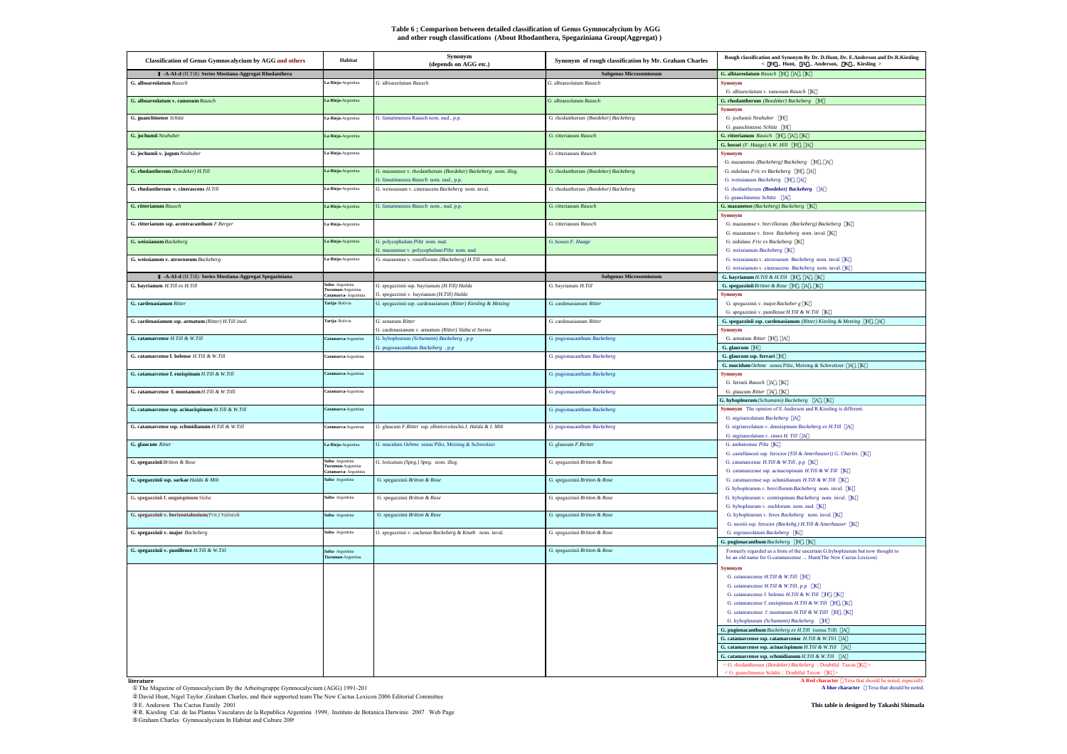#### **Table 6 ; Comparison between detailed classification of Genus Gymnocalycium by AGG and other rough classifications (About Rhodanthera, Spegaziniana Group(Aggregat) )**

| <b>Classification of Genus Gymnocalycium by AGG and others</b> | Habitat                                                       | Synonym<br>(depends on AGG etc.)                                                             | Synonym of rough classification by Mr. Graham Charles | Rough classification and Synonym By Dr. D.<br>Hunt, Dr. E.Anderson and Dr.R.<br>Kiesling<br>$\leq$ H $\leq$ Hunt, $\leq$ Anderson, $\leq$ K<br>Kiesling $>$ |
|----------------------------------------------------------------|---------------------------------------------------------------|----------------------------------------------------------------------------------------------|-------------------------------------------------------|-------------------------------------------------------------------------------------------------------------------------------------------------------------|
| -A-AI-d (H.Till) Series Mostiana-Aggregat Rhodanthera          |                                                               |                                                                                              | <b>Subgenus Microsemineum</b>                         | G. albiareolatum Rausch H. A. K                                                                                                                             |
| G. alboareolatum Rausch                                        | La Rioja-Argentina                                            | G albiareolatum Rausch                                                                       | G albiareolatum Rausch                                | <b>Synonym</b><br>G. albiareolatum v. ramosum Rausch K                                                                                                      |
| $G.$ alboareolatum v. ramosum $Rausch$                         | La Rioja-Argentina                                            |                                                                                              | G. albiareolatum Rausch                               | G. rhodantherum (Boedeker) Backeberg H<br><b>Synonym</b>                                                                                                    |
| G. guanchinense Schütz                                         | La Rioja-Argentina                                            | G. famatimensis Rausch nom. nud., p.p.                                                       | G. rhodantherum (Boedeker) Backeberg                  | G. jochumii Neuhuber H<br>G. guanchinense Schütz H                                                                                                          |
| G. jochumii Neuhuber                                           | La Rioja-Argentina                                            |                                                                                              | G. ritterianum Rausch                                 | G. ritterianum Rausch H. A. K.                                                                                                                              |
| G. jochumii v. jugum Neuhuber                                  | La Rioja-Argentina                                            |                                                                                              | G. ritterianum Rausch                                 | G. hossei (F. Haage) A.W. Hill H., A<br><b>Synonym</b>                                                                                                      |
| G. rhodantherum (Boedeker) H.Till                              | La Rioja-Argentina                                            | G. mazanense v. rhodantherum (Boedeker) Backeberg nom. illeg.                                | G. rhodantherum (Boedeker) Backeberg                  | G. mazanense (Backeberg) Backeberg H , A<br>G. nidulans Fric ex Backeberg H , A                                                                             |
| G. rhodantherum v. cinerascens H.Till                          | La Rioja-Argentina                                            | 3. famatimensis Rausch nom. nud., p.p.<br>G. weissianum v. cinerascens Backeberg nom. inval. | G. rhodantherum (Boedeker) Backeberg                  | G. weissianum Backeberg H , A<br>G. rhodantherum (Boedeker) Backeberg A                                                                                     |
| <b>G.</b> ritterianum Rausch                                   | La Rioja-Argentina                                            | G. famatimensis Rausch nom., nud. p.p.                                                       | G. ritterianum Rausch                                 | G. guanchinense Schütz A<br>G. mazanense (Backeberg) Backeberg K                                                                                            |
| G. ritterianum ssp. acentracanthum F.Berger                    | a Rioja-Argentina                                             |                                                                                              | G. ritterianum Rausch                                 | Synonym<br>G. mazanense v. breviflorum (Backeberg) Backeberg K                                                                                              |
|                                                                |                                                               |                                                                                              |                                                       | G. mazanense v. ferox Backeberg nom. inval. K                                                                                                               |
| G. weissianum Backeberg                                        | La Rioja-Argentina                                            | G. polycephalum Piltz nom. nud.<br>G. mazanense v. polycephalum Piltz nom. nud.              | G. hossei F. Haage                                    | G. nidulans Fric ex Backeberg K<br>G. weissianum Backeberg K                                                                                                |
| G. weissianum v. atroroseum Backeberg                          | La Rioja-Argentina                                            | G. mazanense v. roseiflorum (Backeberg) H.Till nom. inval.                                   |                                                       | G. weissianum v. atroroseum Backeberg nom. inval. K.<br>G. weissianum v. cinerascens Backeberg nom. inval. K                                                |
| -A-AI-d (H.Till) Series Mostiana-Aggregat Spegaziniana         |                                                               |                                                                                              | <b>Subgenus Microsemineum</b>                         | G. bayrianum $H.Till \& H.Till$ H, A, K                                                                                                                     |
| G. bayrianum H.Till ex H.Till                                  | Salta- Argentina<br>Tucuman-Argentina                         | G. spegazzinii ssp. bayrianum (H.Till) Halda                                                 | G. bayrianum H.Till                                   | G. spegazzinii Britton & Rose H , A , K                                                                                                                     |
| G. cardenasianum Ritter                                        | Catamarca Argentina                                           | G. spegazzinii v. bayrianum (H.Till) Halda                                                   |                                                       | <b>Synonym</b>                                                                                                                                              |
|                                                                | Tarija-Bolivia                                                | G. spegazzinii ssp. cardenasianum (Ritter) Kiesling & Metzing                                | G. cardenasianum Ritter                               | G. spegazzinii v. major Backeber g K<br>G. spegazzinii v. punillense H.Till & W.Till K                                                                      |
| G. cardenasianum ssp. armatum (Ritter) H.Till ined.            | Tarija-Bolivia                                                | G. armatum Ritter<br>3. cardenasianum v. armatum (Ritter) Slaba et Sorma                     | G. cardenasianum Ritter                               | G. spegazzinii ssp. cardenasianum (Ritter) Kiesling & Metzing H , A<br><b>Synonym</b>                                                                       |
| G. catamarcense H.Till & W.Till                                | Catamarca-Argentina                                           | G. hybopleurum (Schumann) Backeberg, p.p.<br>G. pugionacanthum Backeberg, p.p.               | G. pugionacanthum Backeberg                           | G. armatum Ritter H. A<br>G. glaucum H                                                                                                                      |
| G. catamarcense f. belense $H.Till \& W.Till$                  | Catamarca-Argentina                                           |                                                                                              | G. pugionacanthum Backeberg                           | G. glaucum ssp. ferrari H<br>G. mucidum Oehme sensu Piltz, Metzing & Schweitzer A, K                                                                        |
| G. catamarcense f. ensispinum H.Till & W.Till                  | Catamarca-Argentina                                           |                                                                                              | G. pugionacanthum Backeberg                           | Synonym                                                                                                                                                     |
|                                                                |                                                               |                                                                                              |                                                       | G. ferrarii Rausch A, K                                                                                                                                     |
| G. catamarcense f. montanum H.Till & W.Tilll                   | Catamarca-Argentina                                           |                                                                                              | G. pugionacanthum Backeberg                           | G. glaucum Ritter A, K                                                                                                                                      |
| G. catamarcense ssp. acinacispinum $H.Till \& W.Till$          |                                                               |                                                                                              |                                                       | G. hybopleurum (Schumann) Backeberg A, K                                                                                                                    |
|                                                                | Catamarca-Argentina                                           |                                                                                              | G. pugionacanthum Backeberg                           | Synonym The opinion of E.Anderson and R.Kiesling is different.<br>G. nigriareolatum Backeberg A                                                             |
| G. catamarcense ssp. schmidianum H.Till & W.Till               | Catamarca-Argentina                                           | G. glaucum F.Ritter ssp. albertovoitechii J. Halda & I. Milt                                 | G. pugionacanthum Backeberg                           | G. nigriareolatum v. densispinum Backeberg ex H.Till A<br>G. nigriareolatum v. simoi H. Till A                                                              |
| G. glaucum Ritter                                              | La Rioja-Argentina                                            | G. mucidum Oehme sensu Piltz, Metzing & Schweitzer                                           | G. glaucum F.Rirtter                                  | G. ambatoense Piltz K<br>G. castellanosii ssp. ferocior (Till & Amerhauseri) G. Charles K                                                                   |
| G. spegazzinii Britton & Rose                                  | Salta- Argentina<br>Tucuman-Argentina<br>Catamarca- Argentina | G. loricatum (Speg.) Speg. nom. illeg.                                                       | G. spegazzinii Britton & Rose                         | G. catamarcense H.Till & W.Till, p.p K<br>G. catamarcense ssp. acinacispinum H.Till & W.Till K                                                              |
| G. spegazzinii ssp. sarkae Halda & Milt                        | Salta- Argentina                                              | G. spegazzinii Britton & Rose                                                                | G. spegazzinii Britton & Rose                         | G. catamarcense ssp. schmidianum H.Till & W.Till K<br>G. hybopleurum v. breviflorum Backeberg nom. inval. K                                                 |
| G. spegazzinii f. unguispinum Slaba                            | Salta-Argentina                                               | G. spegazzinii Britton & Rose                                                                | G. spegazzinii Britton & Rose                         | G. hybopleurum v. centrispinum Backeberg nom. inval. K<br>G. hybopleurum v. euchlorum nom. nud. $K$                                                         |
| G. spegazzinii v. horizontalonium(Fric) Valnicek               | Salta-Argentina                                               | G. spegazzinii Britton & Rose                                                                | G. spegazzinii Britton & Rose                         | G. hybopleurum v. ferox Backeberg nom. inval. K                                                                                                             |
| G. spegazzinii v. major Backeberg                              | Salta- Argentina                                              | G. spegazzinii v. cachense Backeberg & Knuth nom. inval.                                     | G. spegazzinii Britton & Rose                         | G. mostii ssp. ferocior (Backebg.) H.Till & Amerhauser K<br>G. nigriareolatum Backeberg K                                                                   |
|                                                                |                                                               |                                                                                              |                                                       | G. pugionacanthum Backeberg H., K.                                                                                                                          |
| G. spegazzinii v. punillense $H.Till$ & W.Till                 | Salta-Argentina<br>Tucuman-Argentina                          |                                                                                              | G. spegazzinii Britton & Rose                         | Formerly regarded as a form of the uncertain G.hybopleurum but now thought to<br>be an old name for G.catamarcense Hunt(The New Cactus Lexicon)             |
|                                                                |                                                               |                                                                                              |                                                       | <b>Synonym</b>                                                                                                                                              |
|                                                                |                                                               |                                                                                              |                                                       | G. catamarcense H.Till & W.Till H<br>G. catamarcense H.Till & W.Till, p.p. K.                                                                               |
|                                                                |                                                               |                                                                                              |                                                       | G. catamarcense f. belense $H.$ Till & W. Till H $, K$                                                                                                      |
|                                                                |                                                               |                                                                                              |                                                       | G. catamarcense f. ensispinum H.Till & W.Till H , K                                                                                                         |
|                                                                |                                                               |                                                                                              |                                                       | G. catamarcense f. montanum H.Till & W.Till H, K                                                                                                            |
|                                                                |                                                               |                                                                                              |                                                       | G. hybopleurum (Schumann) Backeberg H                                                                                                                       |
|                                                                |                                                               |                                                                                              |                                                       | G. pugionacanthum Backeberg ex H.Till (sensu Till) A                                                                                                        |
|                                                                |                                                               |                                                                                              |                                                       | G. catamarcense ssp. catamarcense H.Till & W.Till A                                                                                                         |
|                                                                |                                                               |                                                                                              |                                                       | G. catamarcense ssp. acinacispinum $H.Till \& W.Till$ _ A                                                                                                   |
|                                                                |                                                               |                                                                                              |                                                       | G. catamarcense ssp. schmidianum $H.\mathit{Fill}\ \&\ W.\mathit{Fill}=\mathit{A}$<br>$\le$ G. rhodantherum (Boedeker) Backeberg ; Doubtful Taxon K $\ge$   |
|                                                                |                                                               |                                                                                              |                                                       | < G. guanchinense Schütz; Doubtful Taxon K >                                                                                                                |
| literature                                                     |                                                               |                                                                                              |                                                       | A Red character Texa that should be noted, especially                                                                                                       |

The Magazine of Gymnocalycium By the Arbeitsgruppe Gymnocalycium (AGG) 1991-201

David Hunt, Nigel Taylor ,Graham Charles, and their supported team The New Cactus Lexicon 2006 Editorial Committee

E. Anderson The Cactus Family 2001<br>R. Kiesling Cat. de las Plantas Vasculares de la Republica Argentina 1999, Instituto de Botanica Darwinic 2007 Web Page<br>Graham Charles Gymnocalycium In Habitat and Culture 2009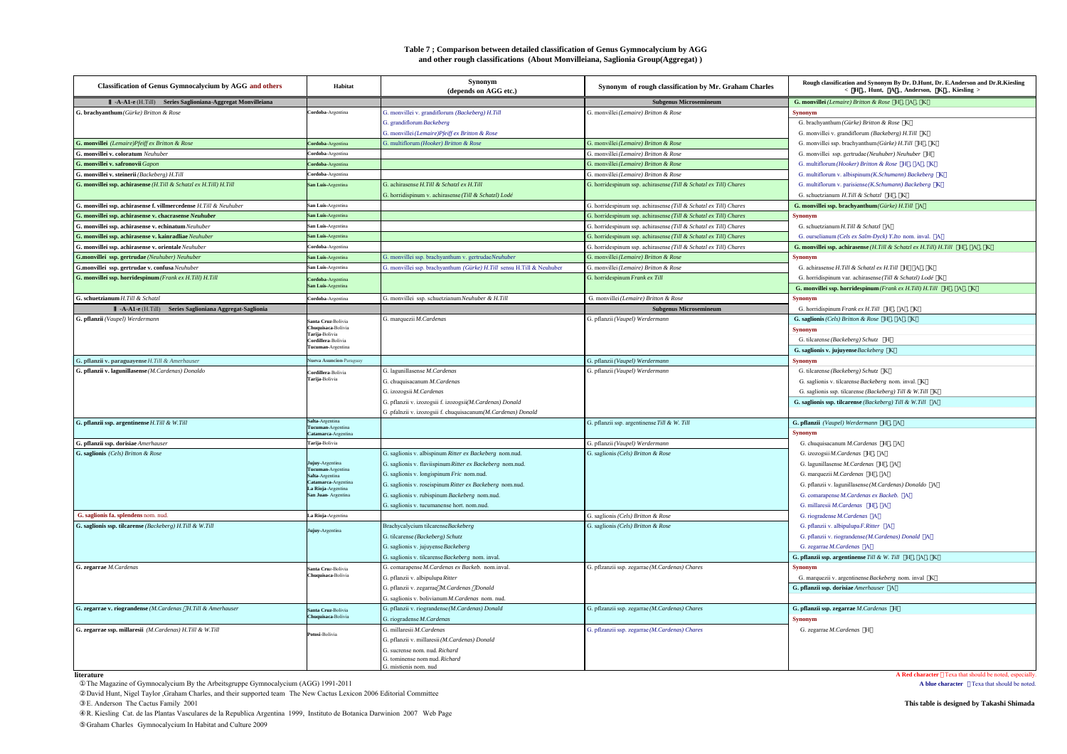## **Table 7 ; Comparison between detailed classification of Genus Gymnocalycium by AGG and other rough classifications (About Monvilleiana, Saglionia Group(Aggregat))**

| <b>Classification of Genus Gymnocalycium by AGG and others</b>    | Habitat                                     | Synonym<br>(depends on AGG etc.)                                      | Synonym of rough classification by Mr. Graham Charles             | Rough classification and Synonym By Dr. D.Hunt, Dr. E.Anderson and Dr.R.Kiesling<br>< H Hunt, A Anderson, K Kiesling > |
|-------------------------------------------------------------------|---------------------------------------------|-----------------------------------------------------------------------|-------------------------------------------------------------------|------------------------------------------------------------------------------------------------------------------------|
| -A-A1-e (H.Till) Series Saglioniana-Aggregat Monvilleiana         |                                             |                                                                       | <b>Subgenus Microsemineum</b>                                     | G. monvillei (Lemaire) Britton & Rose H. A. K.                                                                         |
| G. brachyanthum (Gürke) Britton & Rose                            | Cordoba-Argentina                           | G. monvillei v. grandiflorum (Backeberg) H.Till                       | G. monvillei (Lemaire) Britton & Rose                             | <b>Synonym</b>                                                                                                         |
|                                                                   |                                             | G. grandiflorum Backeberg                                             |                                                                   | G. brachyanthum (Gürke) Britton & Rose K                                                                               |
|                                                                   |                                             | G. monvillei (Lemaire)Pfeiff ex Britton & Rose                        |                                                                   | G. monvillei v. grandiflorum (Backeberg) H.Till K                                                                      |
| G. monvillei (Lemaire)Pfeiff ex Britton & Rose                    | Cordoba-Argentina                           | G. multiflorum (Hooker) Britton & Rose                                | G. monvillei (Lemaire) Britton & Rose                             | G. monvillei ssp. brachyanthum (Gürke) H.Till H, K                                                                     |
| G. monvillei v. coloratum Neuhuber                                | Cordoba-Argentina                           |                                                                       | G. monvillei (Lemaire) Britton & Rose                             | G. monvillei ssp. gertrudae (Neuhuber) Neuhuber H                                                                      |
| G. monvillei v. safronovii Gapon                                  | Cordoba-Argentina                           |                                                                       | G. monvillei (Lemaire) Britton & Rose                             | G. multiflorum (Hooker) Britton & Rose H , A , K                                                                       |
| G. monvillei v. steinerii (Backeberg) H.Till                      | Cordoba-Argentina                           |                                                                       | G. monvillei (Lemaire) Britton & Rose                             | G. multiflorum v. albispinum (K.Schumann) Backeberg K                                                                  |
| G. monvillei ssp. achirasense (H.Till & Schatzl ex H.Till) H.Till | San Luis-Argentina                          | G. achirasense H.Till & Schatzl ex H.Till                             | G. horridespinum ssp. achirasense (Till & Schatzl ex Till) Chares | G. multiflorum v. parisiense (K.Schumann) Backeberg K.                                                                 |
|                                                                   |                                             | G. horridispinum v. achirasense (Till & Schatzl) Lodé                 |                                                                   | G. schuetzianum H.Till & Schatzl H. K.                                                                                 |
| G. monvillei ssp. achirasense f. villmercedense H.Till & Neuhuber | San Luis-Argentina                          |                                                                       | G. horridespinum ssp. achirasense (Till & Schatzl ex Till) Chares | G. monvillei ssp. brachyanthum (Gürke) H.Till A                                                                        |
| G. monvillei ssp. achirasense v. chacrasense Neuhuber             | San Luis-Argentina                          |                                                                       | G. horridespinum ssp. achirasense (Till & Schatzl ex Till) Chares | <b>Synonym</b>                                                                                                         |
| G. monvillei ssp. achirasense v. echinatum Neuhuber               | San Luis-Argentina                          |                                                                       | G. horridespinum ssp. achirasense (Till & Schatzl ex Till) Chares | G. schuetzianum H.Till & Schatzl A                                                                                     |
| G. monvillei ssp. achirasense v. kainradliae Neuhuber             | San Luis-Argentina                          |                                                                       | G. horridespinum ssp. achirasense (Till & Schatzl ex Till) Chares | G. ourselianum (Cels ex Salm-Dyck) Y.Ito nom. inval. A                                                                 |
| G. monvillei ssp. achirasense v. orientale Neuhuber               | Cordoba-Argentina                           |                                                                       | G. horridespinum ssp. achirasense (Till & Schatzl ex Till) Chares | G. monvillei ssp. achirasense (H.Till & Schatzl ex H.Till) H.Till H, A, K                                              |
| G.monvillei ssp. gertrudae (Neuhuber) Neuhuber                    | San Luis-Argentina                          | G. monvillei ssp. brachyanthum v. gertrudaeNeuhuber                   | G. monvillei (Lemaire) Britton & Rose                             | <b>Synonym</b>                                                                                                         |
| G.monvillei ssp. gertrudae v. confusa Neuhuber                    | San Luis-Argentina                          | G. monvillei ssp. brachyanthum (Gürke) H.Till sensu H.Till & Neuhuber | G. monvillei (Lemaire) Britton & Rose                             | G. achirasense H.Till & Schatzl ex H.Till H A, K                                                                       |
| G. monvillei ssp. horridespinum (Frank ex H.Till) H.Till          | <b>Cordoba-Argentina</b>                    |                                                                       | G. horridespinum Frank ex Till                                    | G. horridispinum var. achirasense (Till & Schatzl) Lodé K                                                              |
|                                                                   | San Luis-Argentina                          |                                                                       |                                                                   | G. monvillei ssp. horridespinum (Frank ex H.Till) H.Till H, A, K                                                       |
| G. schuetzianum H.Till & Schatzl                                  | Cordoba-Argentina                           | G. monvillei ssp. schuetzianum Neuhuber & H.Till                      | G. monvillei (Lemaire) Britton & Rose                             | <b>Synonym</b>                                                                                                         |
| -A-A1-e (H.Till) Series Saglioniana Aggregat-Saglionia            |                                             |                                                                       | <b>Subgenus Microsemineum</b>                                     | G. horridispinum Frank ex H.Till H, A, K                                                                               |
| G. pflanzii (Vaupel) Werdermann                                   | Santa Cruz-Bolivia                          | G. marquezii M.Cardenas                                               | G. pflanzii (Vaupel) Werdermann                                   | G. saglionis (Cels) Britton & Rose H. A. K.                                                                            |
|                                                                   | Chuquisaca-Bolivia<br>Tarija-Bolivia        |                                                                       |                                                                   | <b>Synonym</b>                                                                                                         |
|                                                                   | Cordillera-Bolivia                          |                                                                       |                                                                   | G. tilcarense (Backeberg) Schutz H                                                                                     |
|                                                                   | Tucuman-Argentina                           |                                                                       |                                                                   | G. saglionis v. jujuyense Backeberg K                                                                                  |
| G. pflanzii v. paraguayense H.Till & Amerhauser                   | Nueva Asuncion-Paraguay                     |                                                                       | G. pflanzii (Vaupel) Werdermann                                   | <b>Synonym</b>                                                                                                         |
| G. pflanzii v. lagunillasense (M.Cardenas) Donaldo                | Cordillera-Bolivia                          | G. lagunillasense M. Cardenas                                         | G. pflanzii (Vaupel) Werdermann                                   | G. tilcarense (Backeberg) Schutz K                                                                                     |
|                                                                   | Tarija-Bolivia                              | G. chuquisacanum M. Cardenas                                          |                                                                   | G. saglionis v. tilcarense Backeberg nom. inval. K.                                                                    |
|                                                                   |                                             | G. izozogsii M. Cardenas                                              |                                                                   | G. saglionis ssp. tilcarense (Backeberg) Till & W.Till K                                                               |
|                                                                   |                                             | G. pflanzii v. izozogsii f. izozogsii(M.Cardenas) Donald              |                                                                   | G. saglionis ssp. tilcarense (Backeberg) Till & W.Till A                                                               |
|                                                                   |                                             | G .pfalnzii v. izozogsii f. chuquisacanum(M.Cardenas) Donald          |                                                                   |                                                                                                                        |
| G. pflanzii ssp. argentinense H.Till & W.Till                     | Salta-Argentina                             |                                                                       | G. pflanzii ssp. argentinense Till & W. Till                      | G. pflanzii (Vaupel) Werdermann H. A                                                                                   |
|                                                                   | Tucuman-Argentina<br>atamarca-Argentina     |                                                                       |                                                                   | <b>Synonym</b>                                                                                                         |
| G. pflanzii ssp. dorisiae Amerhauser                              | Tarija-Bolivia                              |                                                                       | G. pflanzii (Vaupel) Werdermann                                   | G. chuquisacanum M. Cardenas H. A                                                                                      |
| G. saglionis (Cels) Britton & Rose                                |                                             | G. saglionis v. albispinum Ritter ex Backeberg nom.nud.               | G. saglionis (Cels) Britton & Rose                                | G. izozogsii M. Cardenas H. A.                                                                                         |
|                                                                   | Jujuy-Argentina                             | G. saglionis v. flaviispinum Ritter ex Backeberg nom.nud.             |                                                                   | G. lagunillasense M. Cardenas H. A                                                                                     |
|                                                                   | <b>Fucuman-Argentina</b><br>Salta-Argentina | G. saglionis v. longispinum Fric nom.nud.                             |                                                                   | G. marquezii M. Cardenas H. A                                                                                          |
|                                                                   | Catamarca-Argentina                         | G. saglionis v. roseispinum Ritter ex Backeberg nom.nud.              |                                                                   | G. pflanzii v. lagunillasense (M. Cardenas) Donaldo A                                                                  |
|                                                                   | La Rioja-Argentina<br>San Juan-Argentina    | G. saglionis v. rubispinum Backeberg nom.nud.                         |                                                                   | G. comarapense M. Cardenas ex Backeb. A                                                                                |
|                                                                   |                                             | G. saglionis v. tucumanense hort. nom.nud.                            |                                                                   | G. millaresii M. Cardenas H. A                                                                                         |
| G. saglionis fa. splendens nom. nud.                              | La Rioja-Argentina                          |                                                                       | G. saglionis (Cels) Britton & Rose                                | G. riogradense M. Cardenas A                                                                                           |
| G. saglionis ssp. tilcarense (Backeberg) H.Till & W.Till          |                                             | Brachycalycium tilcarenseBackeberg                                    | G. saglionis (Cels) Britton & Rose                                | G. pflanzii v. albipulupa F. Ritter A                                                                                  |
|                                                                   | Jujuy-Argentina                             | G. tilcarense (Backeberg) Schutz                                      |                                                                   | G. pflanzii v. riograndense (M. Cardenas) Donald A                                                                     |
|                                                                   |                                             | G. saglionis v. jujuyense Backeberg                                   |                                                                   | G. zegarrae M.Cardenas A                                                                                               |
|                                                                   |                                             | G. saglionis v. tilcarense Backeberg nom. inval.                      |                                                                   | G. pflanzii ssp. argentinense Till & W. Till H, A, K                                                                   |
| G. zegarrae M.Cardenas                                            | Santa Cruz-Bolivia                          | G. comarapense M.Cardenas ex Backeb. nom.inval.                       | G. pflzanzii ssp. zegarrae (M.Cardenas) Chares                    | <b>Synonym</b>                                                                                                         |
|                                                                   | huquisaca-Bolivia                           | G. pflanzii v. albipulupa Ritter                                      |                                                                   | G. marquezii v. argentinense Backeberg nom. inval K.                                                                   |
|                                                                   |                                             | G. pflanzii v. zegarrae M.Cardenas Donald                             |                                                                   | G. pflanzii ssp. dorisiae Amerhauser A                                                                                 |
|                                                                   |                                             | G. saglionis v. bolivianum M. Cardenas nom. nud.                      |                                                                   |                                                                                                                        |
| G. zegarrae v. riograndense (M.Cardenas H.Till & Amerhauser       | Santa Cruz-Bolivia                          | G. pflanzii v. riograndense (M. Cardenas) Donald                      | G. pflzanzii ssp. zegarrae (M.Cardenas) Chares                    | G. pflanzii ssp. zegarrae M.Cardenas H                                                                                 |
|                                                                   | huquisaca-Bolivia                           | G. riogradense M.Cardenas                                             |                                                                   | <b>Synonym</b>                                                                                                         |
| G. zegarrae ssp. millaresii (M. Cardenas) H.Till & W.Till         |                                             | G. millaresii M. Cardenas                                             | G. pflzanzii ssp. zegarrae (M.Cardenas) Chares                    | G. zegarrae M.Cardenas H                                                                                               |
|                                                                   | Potosi-Bolivia                              | G. pflanzii v. millaresii (M. Cardenas) Donald                        |                                                                   |                                                                                                                        |
|                                                                   |                                             | G sucrense nom nud Richard                                            |                                                                   |                                                                                                                        |
|                                                                   |                                             | G. tominense nom nud. Richard                                         |                                                                   |                                                                                                                        |
|                                                                   |                                             | G. mistienis nom. nud                                                 |                                                                   |                                                                                                                        |

**literature**

The Magazine of Gymnocalycium By the Arbeitsgruppe Gymnocalycium (AGG) 1991-2011

David Hunt, Nigel Taylor ,Graham Charles, and their supported team The New Cactus Lexicon 2006 Editorial Committee

R. Kiesling Cat. de las Plantas Vasculares de la Republica Argentina 1999, Instituto de Botanica Darwinion 2007 Web Page

Graham Charles Gymnocalycium In Habitat and Culture 2009

**A Red character Texa that should be noted, especially.**<br>**A blue character Texa that should be noted.**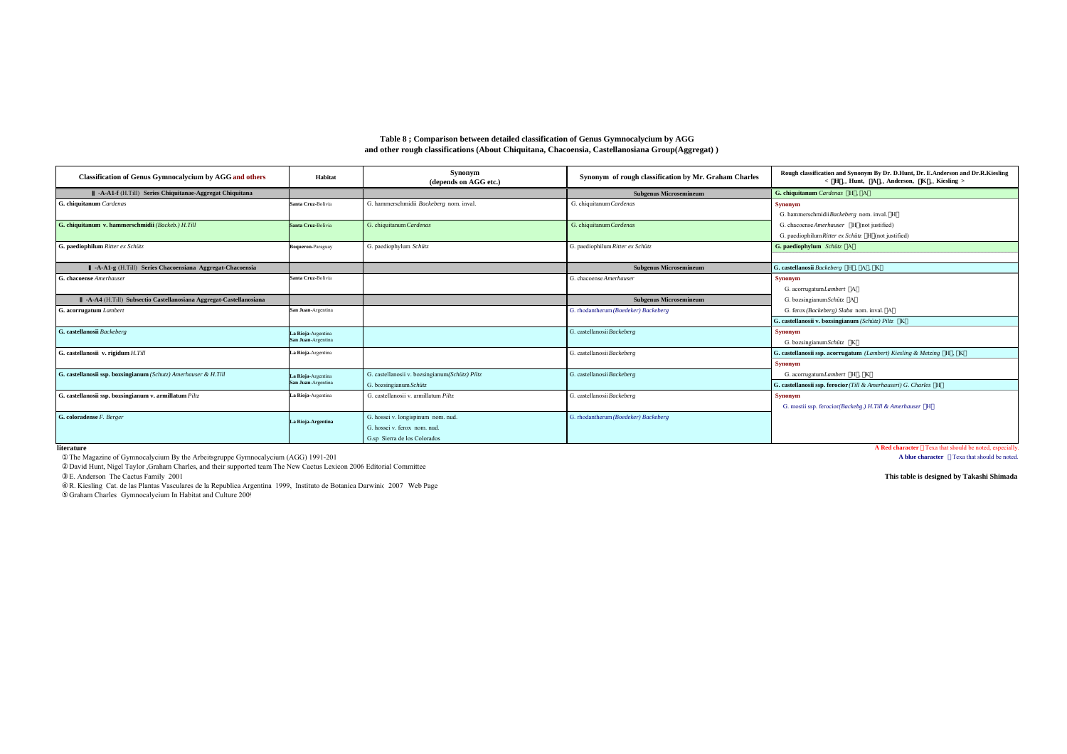| <b>Classification of Genus Gymnocalycium by AGG and others</b>    | Habitat                  | Synonym<br>(depends on AGG etc.)               | Synonym of rough classification by Mr. Graham Charles | Rough classification and Synonym By Dr. D.Hunt, Dr. E.Anderson and Dr.R.Kiesling<br>< H Hunt, A Anderson, K Kiesling > |
|-------------------------------------------------------------------|--------------------------|------------------------------------------------|-------------------------------------------------------|------------------------------------------------------------------------------------------------------------------------|
| -A-A1-f (H.Till) Series Chiquitanae-Aggregat Chiquitana           |                          |                                                | <b>Subgenus Microsemineum</b>                         | G. chiquitanum Cardenas H. A                                                                                           |
| G. chiquitanum Cardenas                                           | Santa Cruz-Bolivia       | G. hammerschmidii Backeberg nom. inval         | G. chiquitanum Cardenas                               | <b>Synonym</b>                                                                                                         |
|                                                                   |                          |                                                |                                                       | G. hammerschmidiiBackeberg nom. inval. H                                                                               |
| G. chiquitanum v. hammerschmidii (Backeb.) H.Till                 | Santa Cruz-Bolivia       | G. chiquitanum Cardenas                        | G. chiquitanum Cardenas                               | G. chacoense Amerhauser H (not justified)                                                                              |
|                                                                   |                          |                                                |                                                       | G. paediophilum Ritter ex Schütz H (not justified)                                                                     |
| G. paediophilum Ritter ex Schütz                                  | <b>Boqueron-Paraguay</b> | G. paediophylum Schütz                         | G. paediophilum Ritter ex Schütz                      | G. paediophylum Schütz A                                                                                               |
|                                                                   |                          |                                                |                                                       |                                                                                                                        |
| -A-A1-g (H.Till) Series Chacoensiana Aggregat-Chacoensia          |                          |                                                | <b>Subgenus Microsemineum</b>                         | G. castellanosii Backeberg H. A. K                                                                                     |
| G. chacoense Amerhauser                                           | Santa Cruz-Bolivia       |                                                | G. chacoense Amerhauser                               | <b>Synonym</b>                                                                                                         |
|                                                                   |                          |                                                |                                                       | G. acorrugatum Lambert A                                                                                               |
| -A-A4 (H.Till) Subsectio Castellanosiana Aggregat-Castellanosiana |                          |                                                | <b>Subgenus Microsemineum</b>                         | G. bozsingianum Schütz A                                                                                               |
| G. acorrugatum Lambert                                            | San Juan-Argentina       |                                                | G. rhodantherum (Boedeker) Backeberg                  | G. ferox (Backeberg) Slaba nom. inval. A                                                                               |
|                                                                   |                          |                                                |                                                       | G. castellanosii v. bozsingianum (Schütz) Piltz K.                                                                     |
| G. castellanosii Backeberg                                        | La Rioja-Argentina       |                                                | G. castellanosii Backeberg                            | <b>Synonym</b>                                                                                                         |
|                                                                   | San Juan-Argentina       |                                                |                                                       | G. bozsingianum Schütz K                                                                                               |
| G. castellanosii v. rigidum H.Till                                | La Rioja-Argentina       |                                                | G. castellanosii Backeberg                            | G. castellanosii ssp. acorrugatum (Lambert) Kiesling & Metzing H. K.                                                   |
|                                                                   |                          |                                                |                                                       | <b>Synonym</b>                                                                                                         |
| G. castellanosii ssp. bozsingianum (Schutz) Amerhauser & H.Till   | La Rioja-Argentina       | G. castellanosii v. bozsingianum(Schütz) Piltz | G. castellanosii Backeberg                            | G. acorrugatum Lambert H. K                                                                                            |
|                                                                   | San Juan-Argentina       | G. bozsingianum Schütz                         |                                                       | G. castellanosii ssp. ferocior (Till & Amerhauseri) G. Charles H                                                       |
| G. castellanosii ssp. bozsingianum v. armillatum Piltz            | La Rioja-Argentina       | G. castellanosii v. armillatum Piltz           | G. castellanosii Backeberg                            | <b>Synonym</b>                                                                                                         |
|                                                                   |                          |                                                |                                                       | G. mostii ssp. ferocior(Backebg.) H.Till & Amerhauser H                                                                |
| G. coloradense F. Berger                                          | La Rioja-Argentina       | G. hossei v. longispinum nom. nud.             | G. rhodantherum (Boedeker) Backeberg                  |                                                                                                                        |
|                                                                   |                          | G. hossei v. ferox nom. nud.                   |                                                       |                                                                                                                        |
|                                                                   |                          | G.sp Sierra de los Colorados                   |                                                       |                                                                                                                        |
| literature                                                        |                          |                                                |                                                       | A Red character Texa that should be noted, especially                                                                  |

### **Table 8 ; Comparison between detailed classification of Genus Gymnocalycium by AGG and other rough classifications (About Chiquitana, Chacoensia, Castellanosiana Group(Aggregat) )**

**literature**

The Magazine of Gymnocalycium By the Arbeitsgruppe Gymnocalycium (AGG) 1991-201 **A blue character** Texa that should be noted.

David Hunt, Nigel Taylor ,Graham Charles, and their supported team The New Cactus Lexicon 2006 Editorial Committee

R. Kiesling Cat. de las Plantas Vasculares de la Republica Argentina 1999, Instituto de Botanica Darwinio 2007 Web Page

E. Anderson The Cactus Family 2001 **This table is designed by Takashi Shimada**

Graham Charles Gymnocalycium In Habitat and Culture 2009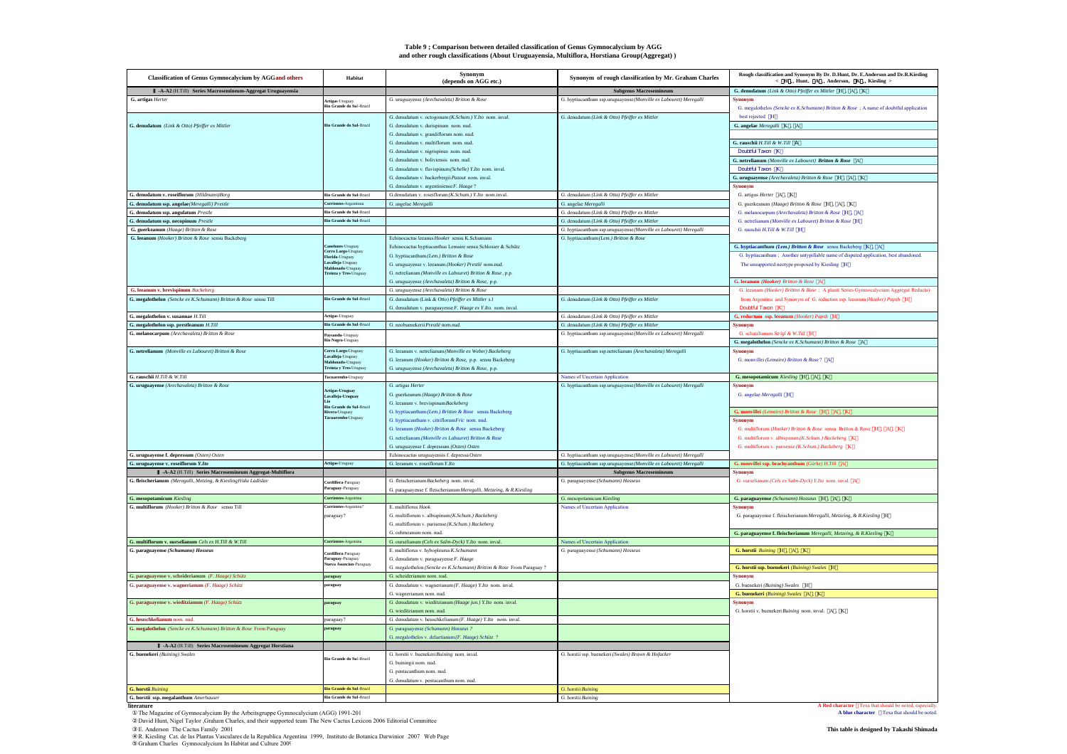#### **Table 9 ; Comparison between detailed classification of Genus Gymnocalycium by AGG and other rough classifications (About Uruguayensia, Multiflora, Horstiana Group(Aggregat))**

| <b>Classification of Genus Gymnocalycium by AGGand others</b>       | Habitat                                               | <b>Synonym</b><br>(depends on AGG etc.)                                                          | Synonym of rough classification by Mr. Graham Charles             | Rough classification and Synonym By Dr. D.Hunt, Dr. E.Anderson and Dr.R.Kiesling<br>< H Hunt, A Anderson, K Kiesling > |
|---------------------------------------------------------------------|-------------------------------------------------------|--------------------------------------------------------------------------------------------------|-------------------------------------------------------------------|------------------------------------------------------------------------------------------------------------------------|
| -A-A2 (H.Till) Series Macrosemineum-Aggregat Uruguayensia           |                                                       |                                                                                                  | <b>Subgenus Macrosemineum</b>                                     | G. denudatum (Link & Otto) Pfeiffer ex Mittler H , A , K                                                               |
| G. artigas Herter                                                   |                                                       | G. uruguayense (Arechavaleta) Britton & Rose                                                     | G. hyptiacanthum ssp.uruguayense (Monville ex Labouret) Meregalli | Synonym                                                                                                                |
|                                                                     | Artigas-Uruguay<br>Rio Grande do Sul-Brazil           |                                                                                                  |                                                                   | G. megalothelos (Sencke ex K.Schumann) Britton & Rose: A name of doubtful application                                  |
|                                                                     |                                                       | G. denudatum v. octogonum (K.Schum.) Y.Ito nom. inval.                                           | G. denudatum (Link & Otto) Pfeiffer ex Mittler                    | best rejected H                                                                                                        |
| G. denudatum (Link & Otto) Pfeiffer ex Mittler                      | .<br>Rio Grande do Sul-Brazil                         | G. denudatum v. durispinum nom. nud.                                                             |                                                                   | G. angelae Meregalli K, A                                                                                              |
|                                                                     |                                                       | G. denudatum v. grandiflorum nom. nud.                                                           |                                                                   |                                                                                                                        |
|                                                                     |                                                       | G. denudatum v. multiflorum nom. nud.                                                            |                                                                   | G. rauschii H.Till & W.Till A                                                                                          |
|                                                                     |                                                       | G. denudatum v. nigrispinus nom. nud.                                                            |                                                                   | Doubtful Taxon K                                                                                                       |
|                                                                     |                                                       | G. denudatum v. boliviensis nom. nud.<br>G. denudatum v. flavispinum (Schelle) Y.Ito nom. inval. |                                                                   | G. netrelianum (Monville ex Labouret) Britton & Rose A<br>Doubtful Taxon K                                             |
|                                                                     |                                                       | G. denudatum v. backerbergii Pazout nom. inval.                                                  |                                                                   | G. uruguayense (Arechavaleta) Britton & Rose H , A , K                                                                 |
|                                                                     |                                                       | G. denudatum v. argentiniense F. Haage?                                                          |                                                                   | Synonym                                                                                                                |
| G. denudatum v. roseiflorum (Hildmann)Borg                          | Rio Grande do Sul-Brazil                              | G.denudatum v. roseiflorum (K.Schum.) Y.Ito nom.inval.                                           | G. denudatum (Link & Otto) Pfeiffer ex Mittler                    | G. artigas Herter A. K.                                                                                                |
| denudatum ssp. angelae (Meregalli) Prestle                          | Corrientes-Argentinna                                 | G. angelae Meregalli                                                                             | G. angelae Meregalli                                              | G. guerkeanum (Haage) Britton & Rose H , A , K                                                                         |
| denudatum ssp. angulatum Prestle                                    | Rio Grande do Sul-Brazil                              |                                                                                                  | G. denudatum (Link & Otto) Pfeiffer ex Mittler                    | G. melanocarpum (Arechavaleta) Britton & Rose H , A                                                                    |
| G. denudatum ssp. necopinum $\mathit{Prestle}$                      | Rio Grande do Sul-Brazil                              |                                                                                                  | G. denudatum (Link & Otto) Pfeiffer ex Mittler                    | G. netrelianum (Monville ex Labouret) Britton & Rose H                                                                 |
| G. guerkeanum (Haage) Britton & Rose                                |                                                       |                                                                                                  | G. hyptiacanthum ssp.uruguayense (Monville ex Labouret) Meregalli | G rauschii $H$ Till & W Till H                                                                                         |
| G. leeanum (Hooker) Britton & Rose sensu Backeberg                  |                                                       | Echinocactus leeanus Hooker sensu K.Schumann                                                     | G. hyptiacanthum (Lem.) Britton & Rose                            |                                                                                                                        |
|                                                                     | Canelones-Uruguay<br>Cerro Largo-Uruguay              | Echinocactus hyptiacanthus Lemaire sensu Schlosser & Schütz                                      |                                                                   | G. hyptiacanthum (Lem.) Britton & Rose sensu Backeberg K, A                                                            |
|                                                                     | Florida-Uruguay                                       | G. hyptiacanthum (Lem.) Britton & Rose                                                           |                                                                   | G. hyptiacanthum; Another untypifiable name of disputed application, best abandoned.                                   |
|                                                                     | Lavalleja-Uruguay<br>mado-Urug                        | G. uruguayense v. leeanum (Hooker) Prestlé nom.nud.                                              |                                                                   | The unsupported neotype proposed by Kiesling H                                                                         |
|                                                                     | Freinta y Tres-Uruguay                                | G. netrelianum (Monville ex Labouret) Britton & Rose, p.p.                                       |                                                                   |                                                                                                                        |
|                                                                     |                                                       | G. uruguayense (Arechavaleta) Britton & Rose, p.p.                                               |                                                                   | G. leeanum (Hooker) Britton & Rose A                                                                                   |
| G. leeanum v. brevispinum Backeberg                                 |                                                       | G. uruguayense (Arechavaleta) Britton & Rose                                                     |                                                                   | G. leeanum (Hooker) Britton & Rose ; A plant( Series Gymnocalycium Aggregat Reducta)                                   |
| G. megalothelon (Sencke ex K.Schumann) Britton & Rose sensu Till    | Rio Grande do Sul-Brazil                              | G. denudatum (Link & Otto) Pfeiffer ex Mittler s.l                                               | G. denudatum (Link & Otto) Pfeiffer ex Mittler                    | from Argentina and Synonym of G. reductum ssp. leeanum (Hooker) Papsh H                                                |
|                                                                     |                                                       | G. denudatum v. paraguayense F. Haage ex Y.Ito. nom. inval.                                      |                                                                   | Doubtful Taxon K                                                                                                       |
| G. megalothelon v. susannae $\it H. Till$                           | Artigas-Uruguay<br>Rio Grande do Sul-Brazil           |                                                                                                  | G. denudatum (Link & Otto) Pfeiffer ex Mittler                    | G. reductum ssp. leeanum (Hooker) Papsh H                                                                              |
| G. megalothelon ssp. prestleanum $\it H. Till$                      |                                                       | G. neobuenekerii Prestlé nom.nud.                                                                | G. denudatum (Link & Otto) Pfeiffer ex Mittler                    | <b>Synonym</b>                                                                                                         |
| G. melanocarpum (Arechavaleta) Britton & Rose                       | <b>Paysandu-</b> Uruguay<br><b>Rio Negro-</b> Uruguay |                                                                                                  | G. hyptiacanthum ssp.uruguayense (Monville ex Labouret) Meregalli | G. schatzlianum Strigl & W.Till H                                                                                      |
| G. netrelianum (Monville ex Labouret) Britton & Rose                |                                                       | G. leeanum v. netrelianum (Monville ex Weber) Backeberg                                          | G. hyptiacanthum ssp.netrelianum (Arechavaleta) Meregalli         | G. megalothelon (Sencke ex K.Schumann) Britton & Rose A<br>Synonym                                                     |
|                                                                     | Cerro Largo-Uruguay<br>walleja-Uruguay                | G. leeanum (Hooker) Britton & Rose, p.p. sensu Backeberg                                         |                                                                   | G. monvillei (Lemaire) Britton & Rose? A                                                                               |
|                                                                     | Maldonado-Uruguay<br>Treinta y Tres-Uruguay           | G. uruguayense (Arechavaleta) Britton & Rose, p.p.                                               |                                                                   |                                                                                                                        |
| G. rauschii $H.\mathit{Fill} \ \&\ W.\mathit{Fill}$                 | Tucuarembod iruguay                                   |                                                                                                  | Names of Uncertain Application                                    | G. mesopotamicum $Kiesling$ $\,$ H $\,$ , $\,$ A $\,$ , $\,$ K                                                         |
| G. uruguayense (Arechavaleta) Britton & Rose                        |                                                       | G. artigas Herter                                                                                | G. hyptiacanthum ssp.uruguayense (Monville ex Labouret) Meregalli | Synonym                                                                                                                |
|                                                                     | Artigas-Uruguay<br>Lavalleja-Uruguay                  | G. guerkeanum (Haage) Britton & Rose                                                             |                                                                   | G. angelae Meregalli H                                                                                                 |
|                                                                     |                                                       | G. leeanum v. brevispinum Backeberg                                                              |                                                                   |                                                                                                                        |
|                                                                     | Rio Grande do Sul-Brazil<br>Rivera-Uruguay            | G. hyptiacanthum (Lem.) Britton & Rose sensu Backeberg                                           |                                                                   | G. monvillei (Lemaire) Britton & Rose H , A , K                                                                        |
|                                                                     | Tacuarembo-Uruguay                                    | G. hyptiacanthum v. citriflorumFric nom. nud.                                                    |                                                                   | <b>Synonym</b>                                                                                                         |
|                                                                     |                                                       | G. leeanum (Hooker) Britton & Rose sensu Backeberg                                               |                                                                   | G. multiflorum (Hooker) Britton & Rose sensu Britton & Rose H , A , K                                                  |
|                                                                     |                                                       | G. netrelianum (Monville ex Labouret) Britton & Rose                                             |                                                                   | G. multiflorum v. albispinum (K.Schum.) Backeberg K.                                                                   |
|                                                                     |                                                       | G. uruguayense f. depressum (Osten) Osten                                                        |                                                                   | G. multiflorum v. parisense (K.Schum.) Backeberg K                                                                     |
| G. uruguayense f. depressum (Osten) Osten                           |                                                       | Echinocactus uruguayensis f. depressa Osten                                                      | G. hyptiacanthum ssp.uruguayense (Monville ex Labouret) Meregalli |                                                                                                                        |
| G. uruguayense v. roseiflorum Y.Ito                                 | Artigas-Uruguay                                       | G. leeanum v. roseiflorum Y.Ito                                                                  | G. hyptiacanthum ssp.uruguayense (Monville ex Labouret) Meregalli | G. monvillei ssp. brachyanthum $(G\ddot{u}\dot{r}ke)$ H.Till $-A$                                                      |
| -A-A2 (H.Till) Series Macrosemineum Aggregat-Multiflora             |                                                       |                                                                                                  | <b>Subgenus Macrosemineum</b>                                     | <b>Synonym</b>                                                                                                         |
| G. fleischerianum (Meregalli, Metzing, & Kiesling)Vala Ladislav     | Cordillera-Paraguay                                   | G. fleischerianum Backeberg nom. inval.                                                          | G. paraguayense (Schumann) Hosseus                                | G. ourselianum (Cels ex Salm-Dyck) Y.Ito nom. inval. A                                                                 |
|                                                                     | araguay-Paraguay                                      | G. paraguayense f. fleischerianum Meregalli, Metzeing, & R.Kiesling                              |                                                                   |                                                                                                                        |
| G. mesopotamicum Kiesling                                           | <b>Corrientes-Argentina</b>                           |                                                                                                  | G. mesopotamicum Kiesling                                         | G. paraguayense (Schumann) Hosseus H , A , K                                                                           |
| G. multiflorum (Hooker) Britton & Rose sensu Till                   | orrientes-Argentina                                   | E. multiflorus Hook                                                                              | Names of Uncertain Application                                    | Synonyn                                                                                                                |
|                                                                     | paraguay?                                             | G. multiflorum v. albispinum (K.Schum.) Backeberg                                                |                                                                   | G. paraguayense f. fleischerianum Meregalli, Metzeing, & R.Kiesling H                                                  |
|                                                                     |                                                       | G. multiflorum v. parisense (K.Schum.) Backeberg                                                 |                                                                   |                                                                                                                        |
|                                                                     |                                                       | G ochmeanum nom nud                                                                              |                                                                   | G. paraguayense f. fleischerianum Meregalli, Metzeing, & R. Kiesling K.                                                |
| G. multiflorum v. ourselianum Cels ex H.Till & W.Till               | Corrientes-Argentina                                  | G. ourselianum (Cels ex Salm-Dyck) Y.Ito nom. inval.                                             | Names of Uncertain Application                                    |                                                                                                                        |
| G. paraguayense (Schumann) Hosseus                                  | Cordillera-Paraguay                                   | E. multiflorus v. hybopleurus K.Schuman                                                          | G. paraguayense (Schumann) Hosseus                                | G. horstii Buining H , A , K                                                                                           |
|                                                                     | .<br>Paraguay-Paraguay<br>Vueva Asuncion-Paraguay     | G. denudatum v. paraguayense F. Haage                                                            |                                                                   |                                                                                                                        |
|                                                                     |                                                       | G. megalothelon (Sencke ex K.Schumann) Britton & Rose From Paraguay ?                            |                                                                   | G. horstii ssp. buenekeri (Buining) Swales H                                                                           |
| G. paraguayense v. scheiderianum $(F. \ Haage)$ Schütz              | raguay                                                | G. scheiderianum nom. nud.                                                                       |                                                                   | Synonym<br>G. buenekeri (Buining) Swales H                                                                             |
| G. paraguayense v. wagnerianum (F. Haage) Schütz                    | raguay                                                | G. denudatum v. wagnerianum (F. Haage) Y.Ito nom. inval.                                         |                                                                   |                                                                                                                        |
| G. paraguayense v. wieditzianum (F. Haage) Schütz                   | araguay                                               | G. wagnerianum nom. nud.<br>G. denudatum v. wieditzianum (Haage jun.) Y.Ito nom. inval.          |                                                                   | G. buenekeri (Buining) Swales A. K.<br>Synonym                                                                         |
|                                                                     |                                                       | G. wieditzianum nom. nud.                                                                        |                                                                   | G. horstii v. buenekeri Buining nom. inval. A. K.                                                                      |
| G. heuschkelianum nom. nud.                                         | paraguay?                                             | G. denudatum v. heuschkelianum (F. Haage) Y.Ito nom. inval.                                      |                                                                   |                                                                                                                        |
| G. megalothelon (Sencke ex K.Schumann) Britton & Rose From Paraguay | araguay                                               | G. paraguayense (Schumann) Hosseus ?                                                             |                                                                   |                                                                                                                        |
|                                                                     |                                                       | G. megalothelos v. delaetianum (F. Haage) Schütz ?                                               |                                                                   |                                                                                                                        |
| -A-A2 (H.Till) Series Macrosemineum Aggregat Horstiana              |                                                       |                                                                                                  |                                                                   |                                                                                                                        |
| G. buenekeri (Buining) Swales                                       |                                                       | G. horstii v. buenekeri Buining nom. inval.                                                      | G. horstii ssp. buenekeri (Swales) Brawn & Hofacker               |                                                                                                                        |
|                                                                     | Rio Grande do Sul-Brazil                              | G. buiningii nom. nud.                                                                           |                                                                   |                                                                                                                        |
|                                                                     |                                                       | G. pentacanthum nom. nud.                                                                        |                                                                   |                                                                                                                        |
|                                                                     |                                                       | G. denudatum v. pentacanthum nom. nud.                                                           |                                                                   |                                                                                                                        |
| <b>G. horstii Buining</b>                                           | Rio Grande do Sul-Brazil                              |                                                                                                  | G. horstii Buining                                                |                                                                                                                        |
| G. horstii ssp. megalanthum Amerhauser                              | Rio Grande do Sul-Brazil                              |                                                                                                  | G. horstii Buining                                                |                                                                                                                        |
|                                                                     |                                                       |                                                                                                  |                                                                   |                                                                                                                        |

**literature A Red character Texa that should be noted, especially controlled be noted, especially controlled be noted, and a should be noted, and a blue character <b>Texa that should be noted**, **A blue character** *Conse* 

David Hunt, Nigel Taylor ,Graham Charles, and their supported team The New Cactus Lexicon 2006 Editorial Committee<br>E. Anderson The Cactus Family 2001 **This table is designed by Takashi Shimada** 

R. Kiesling Cat. de las Plantas Vasculares de la Republica Argentina 1999, Instituto de Botanica Darwinior 2007 Web Page<br>Graham Charles Gymnocalycium In Habitat and Culture 2005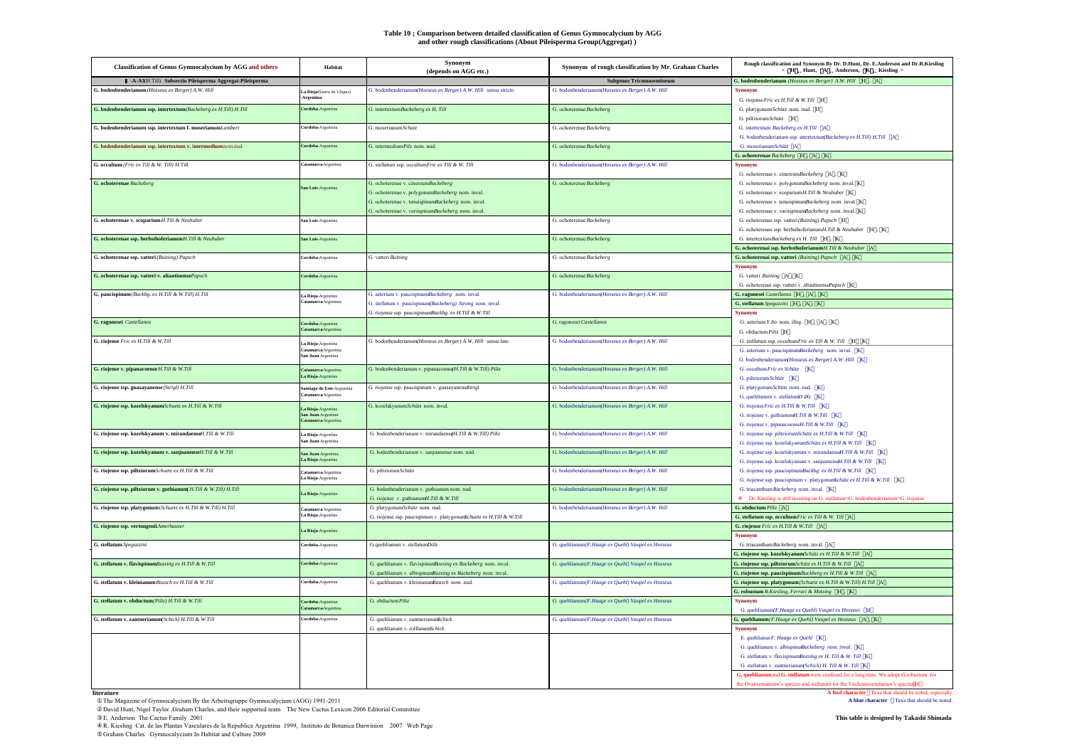#### **Table 10 ; Comparison between detailed classification of Genus Gymnocalycium by AGG and other rough classifications (About Pileisperma Group(Aggregat))**

| <b>Classification of Genus Gymnocalycium by AGG and others</b>        | Habitat                                          | <b>Synonym</b><br>(depends on AGG etc.)                               | Synonym of rough classification by Mr. Graham Charles | Rough classification and Synonym By Dr. D.Hunt, Dr. E.Anderson and Dr.R.Kiesling<br>< H Hunt, A Anderson, K Kiesling > |
|-----------------------------------------------------------------------|--------------------------------------------------|-----------------------------------------------------------------------|-------------------------------------------------------|------------------------------------------------------------------------------------------------------------------------|
| -A-A3(H.Till) Subsectio Pileisperma Aggregat-Pileisperma              |                                                  |                                                                       | <b>Subgenus Tricomosemineum</b>                       | G. bodenbenderianum (Hosseus ex Berger) A.W. Hill H., A.                                                               |
| G. bodenbenderianum (Hosseus ex Berger) A.W. Hill                     | La Rioja(Sierra de Ulapes)<br>Argentina          | G. bodenbenderianum(Hosseus ex Berger) A.W. Hill sensu stricto        | G. bodenbenderianum(Hosseus ex Berger) A.W. Hill      | <b>Synonym</b><br>G. riojense Fric ex H.Till & W.Till H                                                                |
| G. bodenbenderianum ssp. intertextum(Backeberg ex H.Till) H.Till      | Cordoba-Argentina                                | G. intertextum Backeberg ex H. Till                                   | G. ochoterenae Backeberg                              | G. platygonumSchütz nom. nud. H<br>G. piltziorum Schütz H                                                              |
| G. bodenbenderianum ssp. intertextum f. moserianumLambert             | Cordoba-Argentina                                | G moserianum Schutz                                                   | G. ochoterenae Backeberg                              | G. intertextum Backeberg ex H.Till A<br>G. bodenbenderianum ssp. intertextum(Backeberg ex H.Till) H.Till A             |
| G. bodenbenderianum ssp. intertextum v. intermediumnom.nud.           | Cordoba-Argentina                                | G. intermedium Pilz nom. nud.                                         | G. ochoterenae Backeberg                              | G moserianum Schütz A<br>G. ochoterenae Backeberg H, A, K                                                              |
| G. occultum (Fric ex Till & W. Till) H.Till                           | Catamarca Argentina                              | G. stellatum ssp. occultumFric ex Till & W. Till                      | G. bodenbenderianum/Hosseus ex Berger) A.W. Hill      | <b>Synonym</b><br>G. ochoterenae v. cinereumBackeberg A, K                                                             |
| <b>G.</b> ochoterenae Backeberg                                       | San Luis-Argentina                               | G. ochoterenae v. cinereumBackeberg                                   | G. ochoterenae Backeberg                              | G. ochoterenae v. polygonumBackeberg nom. inval. K                                                                     |
|                                                                       |                                                  | G. ochoterenae v. polygonumBackeberg nom. inval.                      |                                                       | G. ochoterenae v. scoparium H.Till & Neuhuber K                                                                        |
|                                                                       |                                                  | G. ochoterenae v. tenuispinumBackeberg nom. inval.                    |                                                       | G. ochoterenae v. tenuispinumBackeberg nom. inval. K                                                                   |
|                                                                       |                                                  | G. ochoterenae v. variispinumBackeberg nom. inval.                    |                                                       | G. ochoterenae v. variispinumBackeberg nom. inval. K.                                                                  |
| G. ochoterenae v. scoparium H.Till & Neuhuber                         | San Luis-Argentina                               |                                                                       | G. ochoterenae Backeberg                              | G. ochoterenae ssp. vatteri (Buining) Papsch H                                                                         |
|                                                                       |                                                  |                                                                       |                                                       | G. ochoterenae ssp. herbsthoferianumH.Till & Neuhuber H , K                                                            |
| G. ochoterenae ssp. herbsthoferianum H.Till & Neuhuber                | San Luis-Argentina                               |                                                                       | G. ochoterenae Backeberg                              | G. intertextum Backeberg ex H. Till H. K                                                                               |
|                                                                       |                                                  |                                                                       |                                                       | G. ochoterenai ssp. herbsthoferianumH.Till & Neuhuber A                                                                |
| G. ochoterenae ssp. vatteri (Buining) Papsch                          | Cordoba-Argentina                                | G. vatteri Buining                                                    | G. ochoterenae Backeberg                              | G. ochoterenai ssp. vatteri (Buining) Papsch A, K                                                                      |
| G. ochoterenae ssp. vatteri v. altautinensePapsch                     | Cordoba-Argentina                                |                                                                       | G. ochoterenae Backeberg                              | Synonym<br>G. vatteri Buining A, K                                                                                     |
|                                                                       |                                                  |                                                                       |                                                       | G. ochoterenai ssp. vatteri v. altautinensePapsch K                                                                    |
| G. paucispinum (Backbg. ex H.Till & W.Till) H.Till                    | La Rioja-Argentina                               | G. asterium v. paucispinumBackeberg nom. inval.                       | G. bodenbenderianum(Hosseus ex Berger) A.W. Hill      | G. ragonesei Castellanos H, A, K                                                                                       |
|                                                                       | atamarca Argentina                               | G. stellatum v. paucispinum(Backeberg) Strong nom. inval.             |                                                       | G. stellatum Spegazzini H, A, K                                                                                        |
|                                                                       |                                                  | G. riojense ssp. paucispinumBackbg. ex H.Till & W.Till                |                                                       | Synonym                                                                                                                |
| G. ragonesei Castellanos                                              | Cordoba-Argentina                                |                                                                       | G. ragonesei Castellanos                              | G. asterium Y.Ito nom. illeg. H , A , K                                                                                |
|                                                                       | atamarca-Argen                                   |                                                                       |                                                       | G. obductum Piltz H                                                                                                    |
| G. riojense Fric ex H.Till & W.Till                                   | a Rioja-Argentina                                | G. bodenbenderianum(Hosseus ex Berger) A.W. Hill sensu lato           | G. bodenbenderianum(Hosseus ex Berger) A.W. Hill      | G. stellatum ssp. occultumFric ex Till & W. Till H K                                                                   |
|                                                                       | <b>latamarca</b> Argentina<br>San Juan-Argentina |                                                                       |                                                       | G. asterium v. paucispinumBackeberg nom. inval. K                                                                      |
|                                                                       |                                                  |                                                                       |                                                       | G. bodenbenderianum(Hosseus ex Berger) A.W. Hill K                                                                     |
| G. riojense v. pipanacoense H.Till & W.Till                           | Catamarca Argentina<br>La Rioja-Argentina        | G. bodenbenderianum v. pipanacoens@H.Till & W.Till) Piltz             | G. bodenbenderianum(Hosseus ex Berger) A.W. Hill      | G. occultum Fric ex Schütz K                                                                                           |
|                                                                       |                                                  |                                                                       |                                                       | G. piltziorum Schütz K                                                                                                 |
| G. riojense ssp. guasayanense (Strigl) H.Till                         | antiago de Este-Argentina<br>Catamarca Argent    | G. riojense ssp. paucispinum v. guasayanens&trigl                     | G. bodenbenderianum Hosseus ex Berger) A.W. Hill      | G. platygonumSchütz nom. nud. K                                                                                        |
| G. riojense ssp. kozelskyanumSchuetz ex H.Till & W.Till               |                                                  | G. kozelskyanumSchütz nom. inval.                                     | G. bodenbenderianum(Hosseus ex Berger) A.W. Hill      | G. quehlianum v. stellatum $D$ $O/z$ K<br>G. riojense Fric ex H.Till & W.Till K                                        |
|                                                                       | La Rioja-Argentina<br>San Juan-Argentina         |                                                                       |                                                       | G. riojense v. guthianumH.Till & W.Till K                                                                              |
|                                                                       | Catamarca Argentina                              |                                                                       |                                                       | G. riojense v. pipanacoenseH. Till & W. Till K                                                                         |
| G. riojense ssp. kozelskyanum v. mirandaenseH. Till & W.Till          | La Rioja-Argentina                               | G. bodenbenderianum v. mirandaens¢H.Till & W.Till) Piltz              | G. bodenbenderianum(Hosseus ex Berger) A.W. Hill      | G. riojense ssp. piłtziorumSchütz ex H.Till & W.Till K                                                                 |
|                                                                       | San Juan-Argentina                               |                                                                       |                                                       | G. riojense ssp. kozelskyanumSchütz ex H.Till & W.Till K                                                               |
| G. riojense ssp. kozelskyanum v. sanjuanenseH.Till & W.Till           | San Juan-Argentina                               | G. bodenbenderianum v. sanjuanense nom. nud.                          | G. bodenbenderianum(Hosseus ex Berger) A.W. Hill      | G. riojense ssp. kozelskyanum v. mirandaenseH.Till & W.Till K                                                          |
|                                                                       | La Rioja-Argentina                               |                                                                       |                                                       | G. riojense ssp. kozelskyanum v. sanjuanens $H$ . Till & W. Till K                                                     |
| G. riojense ssp. piltziorumSchuetz ex H.Till & W.Till                 | Catamarca Argentina                              | G. piltziorum Schütz                                                  | G. bodenbenderianum(Hosseus ex Berger) A.W. Hill      | G. riojense ssp. paucispinumBackbg. ex H.Till & W.Till K                                                               |
|                                                                       | La Rioja-Argentina                               |                                                                       |                                                       | G. riojense ssp. paucispinum v. platygonun Schütz ex H.Till & W.Till K                                                 |
| G. riojense ssp. piłtziorum v. guthianum $H.Till & W.Till$ ) $H.Till$ | La Rioja-Argentina                               | G. bodenbenderianum v. guthianum nom. nud.                            | G. bodenbenderianum(Hosseus ex Berger) A.W. Hill      | G. triacanthumBackeberg nom. inval. K                                                                                  |
|                                                                       |                                                  | G. riojense v. guthianumH.Till & W.Till                               |                                                       | Dr. Kiesling is still insisting on G. stellatum=G. bodenbenderianum=G. riojense                                        |
| G. riojense ssp. platygonum (Schuetz ex H.Till & W.Till) H.Till       | Catamarca Argentina<br>La Rioja-Argentina        | G. platygonumSchütz nom. nud.                                         | G. bodenbenderianum(Hosseus ex Berger) A.W. Hill      | G. obductum Piltz A                                                                                                    |
| G. riojense ssp. vertongeniiAmerhauser                                |                                                  | G. riojense ssp. paucispinum v. platygonum Schuetz ex H.Till & W.Till |                                                       | G. stellatum ssp. occultum Fric ex Till & W. Till A<br>G. riojense Fric ex H.Till & W.Till A                           |
|                                                                       | a Rioja-Argentina                                |                                                                       |                                                       | <b>Synonym</b>                                                                                                         |
| G. stellatum Spegazzini                                               | Cordoba-Argentina                                | G.quehlianum v. stellatumDölz                                         | G. quehlianum(F.Haage ex Quehl) Vaupel ex Hosseus     | G. triacanthum Backeberg nom. inval. A                                                                                 |
|                                                                       |                                                  |                                                                       |                                                       | G. riojense ssp. kozelskyanumSchütz ex H.Till & W.Till A                                                               |
| G. stellatum v. flavispinumBozsing ex H.Till & W.Till                 | Cordoba-Argentina                                | G. quehlianum v. flavispinumBozsing ex Backeberg nom. inval.          | G. quehlianum(F.Haage ex Quehl) Vaupel ex Hosseus     | G. riojense ssp. piłtziorum Schütz ex H. Till & W. Till A                                                              |
|                                                                       |                                                  | G. quehlianum v. albispinumBozsing ex Backeberg nom. inval.           |                                                       | G. riojense ssp. paucispinum Backberg ex H.Till & W.Till A                                                             |
| G. stellatum v. kleinianum Rausch ex H. Till & W. Till                | Cordoba-Argentina                                | G. quehlianum v. kleinianumRausch nom. nud.                           | G. quehlianum(F.Haage ex Quehl) Vaupel ex Hosseus     | G. riojense ssp. platygonum (Schuetz ex H.Till & W.Till) H.Till A                                                      |
|                                                                       |                                                  |                                                                       |                                                       | G. robustum R.Kiesling, Ferrari & Metzing H , K                                                                        |
| G. stellatum v. obductum(Piltz) H.Till & W.Till                       | Cordoba-Argentina                                | G. obductum Piltz                                                     | G. quehlianum(F.Haage ex Quehl) Vaupel ex Hosseus     | <b>Synonym</b>                                                                                                         |
|                                                                       | Catamarca-Argenting                              |                                                                       |                                                       | G. quehlianum(F.Haage ex Quehl) Vaupel ex Hosseus H                                                                    |
| G. stellatum v. zantnerianum(Schick) H.Till & W.Till                  | Cordoba-Argentina                                | G. quehlianum v. zantnerianunfichick                                  | G. quehlianum(F.Haage ex Quehl) Vaupel ex Hosseus     | G. quehlianum (F.Haage ex Quehl) Vaupel ex Hosseus A, K                                                                |
|                                                                       |                                                  | G. quehlianum v. rolfianumSchick                                      |                                                       | Synonym                                                                                                                |
|                                                                       |                                                  |                                                                       |                                                       | E. quehlianus F. Haage ex Quehl K                                                                                      |
|                                                                       |                                                  |                                                                       |                                                       | G. quehlianum v. albispinusBackeberg_nom. inval. K                                                                     |
|                                                                       |                                                  |                                                                       |                                                       | G. stellatum v. flavispinumBozsing ex H. Till & W. Till K<br>G. stellatum v. zantnerianum(Schick) H. Till & W. Till K  |
|                                                                       |                                                  |                                                                       |                                                       | G. quehlianum and G. stellatum were confused for a long time. We adopt G.robustum for                                  |
|                                                                       |                                                  |                                                                       |                                                       | the Ovatisemineum's species and stellatum for the Trichomosemineum's speciiesH                                         |
|                                                                       |                                                  |                                                                       |                                                       |                                                                                                                        |

**A Red character** Texa that should be noted, especially<br>The Magazine of Gymnocalycium By the Arbeitsgruppe Gymnocalycium (AGG) 1991-2011<br>David Hunt, Nigel Taylor Graham Charles, and their supported team The New Cactus Lexi

E. Anderson The Cactus Family 2001<br>R. Kiesling Cat. de las Plantas Vasculares de la Republica Argentina 1999, Instituto de Botanica Darwinion 2007 Web Page<br>Graham Charles Gymnocalycium In Habitat and Culture 2009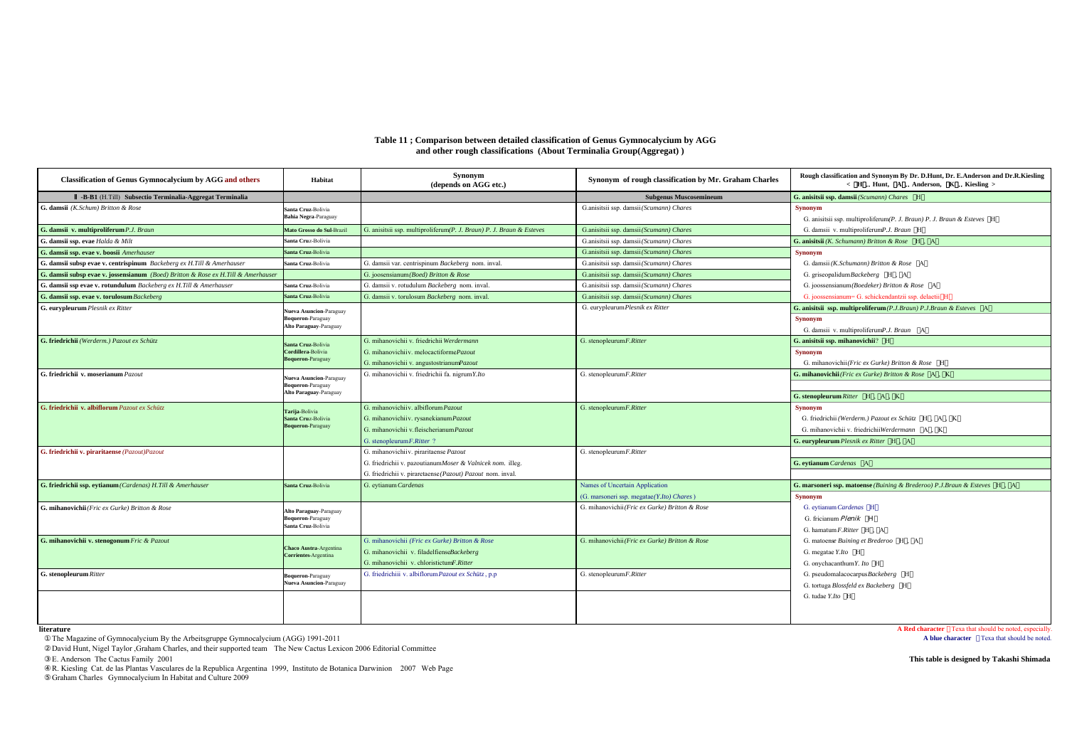## **Table 11 ; Comparison between detailed classification of Genus Gymnocalycium by AGG and other rough classifications (About Terminalia Group(Aggregat) )**

| <b>Classification of Genus Gymnocalycium by AGG and others</b>                    | Habitat                                                                | Synonym<br>(depends on AGG etc.)                                     | Synonym of rough classification by Mr. Graham Charles | Rough classification and Synonym By Dr. D.Hunt, Dr. E.Anderson and Dr.R.Kiesling<br>< H Hunt, A Anderson, K Kiesling >           |
|-----------------------------------------------------------------------------------|------------------------------------------------------------------------|----------------------------------------------------------------------|-------------------------------------------------------|----------------------------------------------------------------------------------------------------------------------------------|
| -B-B1 (H.Till) Subsectio Terminalia-Aggregat Terminalia                           |                                                                        |                                                                      | <b>Subgenus Muscosemineum</b>                         | G. anisitsii ssp. damsii (Scumann) Chares H                                                                                      |
| G. damsii (K.Schum) Britton & Rose                                                | Santa Cruz-Bolivia<br>Bahia Negra-Paraguay                             |                                                                      | G.anisitsii ssp. damsii (Scumann) Chares              | <b>Synonym</b><br>G. anisitsii ssp. multiproliferum(P. J. Braun) P. J. Braun & Esteves H                                         |
| G. damsii v. multiproliferum P.J. Braun                                           | Mato Grosso do Sul-Brazil                                              | G. anisitsii ssp. multiproliferum(P. J. Braun) P. J. Braun & Esteves | G.anisitsii ssp. damsii (Scumann) Chares              | G. damsii v. multiproliferumP.J. Braun H                                                                                         |
| G. damsii ssp. evae Halda & Milt                                                  | Santa Cruz-Bolivia                                                     |                                                                      | G.anisitsii ssp. damsii (Scumann) Chares              | <b>G. anisitsii</b> ( <i>K. Schumann</i> ) Britton & Rose $H$ , A                                                                |
| G. damsii ssp. evae v. boosii Amerhauser                                          | Santa Cruz-Bolivia                                                     |                                                                      | G.anisitsii ssp. damsii (Scumann) Chares              | Synonym                                                                                                                          |
| G. damsii subsp evae v. centrispinum Backeberg ex H.Till & Amerhauser             | Santa Cruz-Bolivia                                                     | G. damsii var. centrispinum Backeberg nom. inval.                    | G.anisitsii ssp. damsii (Scumann) Chares              | G. damsii (K.Schumann) Britton & Rose A                                                                                          |
| G. damsii subsp evae v. jossensianum (Boed) Britton & Rose ex H.Till & Amerhauser |                                                                        | G. joosensianum(Boed) Britton & Rose                                 | G.anisitsii ssp. damsii (Scumann) Chares              | G. griseopalidum Backeberg H. A                                                                                                  |
| G. damsii ssp evae v. rotundulum Backeberg ex H.Till & Amerhauser                 | Santa Cruz-Bolivia                                                     | G. damsii v. rotudulum Backeberg nom. inval.                         | G.anisitsii ssp. damsii (Scumann) Chares              | G. joossensianum (Boedeker) Britton & Rose A                                                                                     |
| G. damsii ssp. evae v. torulosum Backeberg                                        | Santa Cruz-Bolivia                                                     | G. damsii v. torulosum Backeberg nom. inval.                         | G.anisitsii ssp. damsii (Scumann) Chares              | G. joossensianum= G. schickendantzii ssp. delaetii H                                                                             |
| G. eurypleurum Plesnik ex Ritter                                                  | Nueva Asuncion-Paraguay<br>Boqueron-Paraguay<br>Alto Paraguay-Paraguay |                                                                      | G. eurypleurum Plesnik ex Ritter                      | G. anisitsii ssp. multiproliferum(P.J.Braun) P.J.Braun & Esteves A<br><b>Synonym</b><br>G. damsii v. multiproliferumP.J. Braun A |
| G. friedrichii (Werderm.) Pazout ex Schütz                                        | Santa Cruz-Bolivia                                                     | G. mihanovichii v. friedrichii Werdermann                            | G. stenopleurumF.Ritter                               | G. anisitsii ssp. mihanovichii? H                                                                                                |
|                                                                                   | Cordillera-Bolivia                                                     | G. mihanovichii v. melocactiformePazout                              |                                                       | <b>Synonym</b>                                                                                                                   |
|                                                                                   | <b>Boqueron-Paraguay</b>                                               | G. mihanovichii v. angustostrianumPazout                             |                                                       | G. mihanovichii (Fric ex Gurke) Britton & Rose H                                                                                 |
| G. friedrichii v. moserianum Pazout                                               | Nueva Asuncion-Paraguay<br>Boqueron-Paraguay<br>Alto Paraguay-Paraguay | G. mihanovichii v. friedrichii fa. nigrumY.Ito                       | G. stenopleurumF.Ritter                               | G. mihanovichii (Fric ex Gurke) Britton & Rose A, K<br>G. stenopleurum Ritter H, A, K                                            |
| G. friedrichii v. albiflorum Pazout ex Schütz                                     |                                                                        | G. mihanovichii v. albiflorum Pazout                                 | G. stenopleurumF.Ritter                               | Synonym                                                                                                                          |
|                                                                                   | Tarija-Bolivia<br>Santa Cruz-Bolivia                                   | G. mihanovichiiv. rysanekianum Pazout                                |                                                       | G. friedrichii (Werderm.) Pazout ex Schütz H. A. K.                                                                              |
|                                                                                   | <b>Boqueron-Paraguay</b>                                               | G. mihanovichii v. fleischerianum Pazout                             |                                                       | G. mihanovichii v. friedrichiiWerdermann A. K.                                                                                   |
|                                                                                   |                                                                        | G. stenopleurum F. Ritter?                                           |                                                       | <b>G. eurypleurum</b> Plesnik ex Ritter H.                                                                                       |
| G. friedrichii v. piraritaense (Pazout)Pazout                                     |                                                                        | G. mihanovichii v. piraritaense Pazout                               | G. stenopleurumF.Ritter                               |                                                                                                                                  |
|                                                                                   |                                                                        | G. friedrichii v. pazoutianumMoser & Valnicek nom. illeg.            |                                                       | G. eytianum Cardenas A                                                                                                           |
|                                                                                   |                                                                        | G. friedrichii v. piraretaense (Pazout) Pazout nom. inval.           |                                                       |                                                                                                                                  |
| G. friedrichii ssp. eytianum (Cardenas) H.Till & Amerhauser                       | Santa Cruz-Bolivia                                                     | G. eytianum Cardenas                                                 | Names of Uncertain Application                        | G. marsoneri ssp. matoense (Buining & Brederoo) P.J.Braun & Esteves H , A                                                        |
|                                                                                   |                                                                        |                                                                      | (G. marsoneri ssp. megatae(Y.Ito) Chares)             | <b>Synonym</b>                                                                                                                   |
| G. mihanovichii (Fric ex Gurke) Britton & Rose                                    | Alto Paraguay-Paraguay                                                 |                                                                      | G. mihanovichii(Fric ex Gurke) Britton & Rose         | G. eytianum Cardenas H                                                                                                           |
|                                                                                   | Boqueron-Paraguay                                                      |                                                                      |                                                       | G. fricianum Plenik H                                                                                                            |
|                                                                                   | Santa Cruz-Bolivia                                                     |                                                                      |                                                       | G. hamatum F.Ritter H. A                                                                                                         |
| G. mihanovichii v. stenogonum Fric & Pazout                                       |                                                                        | G. mihanovichii (Fric ex Gurke) Britton & Rose                       | G. mihanovichii(Fric ex Gurke) Britton & Rose         | G. matoense Buining et Brederoo H. A                                                                                             |
|                                                                                   | <b>Chaco Austra-Argentina</b><br>Corrientes-Argentina                  | G. mihanovichii v. filadelfienseBackeberg                            |                                                       | G. megatae Y.Ito H                                                                                                               |
|                                                                                   |                                                                        | G. mihanovichii v. chloristictumF.Ritter                             |                                                       | G. onychacanthum Y. Ito H                                                                                                        |
| G. stenopleurum Ritter                                                            | <b>Soqueron-Paraguay</b>                                               | G. friedrichiii v. albiflorum Pazout ex Schütz, p.p                  | G. stenopleurum F. Ritter                             | G. pseudomalacocarpusBackeberg H                                                                                                 |
|                                                                                   | Nueva Asuncion-Paraguay                                                |                                                                      |                                                       | G. tortuga Blossfeld ex Backeberg H                                                                                              |
|                                                                                   |                                                                        |                                                                      |                                                       | G. tudae Y.Ito H                                                                                                                 |
|                                                                                   |                                                                        |                                                                      |                                                       |                                                                                                                                  |
|                                                                                   |                                                                        |                                                                      |                                                       |                                                                                                                                  |

**literature**

The Magazine of Gymnocalycium By the Arbeitsgruppe Gymnocalycium (AGG) 1991-2011

David Hunt, Nigel Taylor ,Graham Charles, and their supported team The New Cactus Lexicon 2006 Editorial Committee

R. Kiesling Cat. de las Plantas Vasculares de la Republica Argentina 1999, Instituto de Botanica Darwinion 2007 Web Page Graham Charles Gymnocalycium In Habitat and Culture 2009

**A Red character Texa that should be noted, especially.**<br>**A blue character Texa that should be noted.** 

E. Anderson The Cactus Family 2001 **This table is designed by Takashi Shimada**